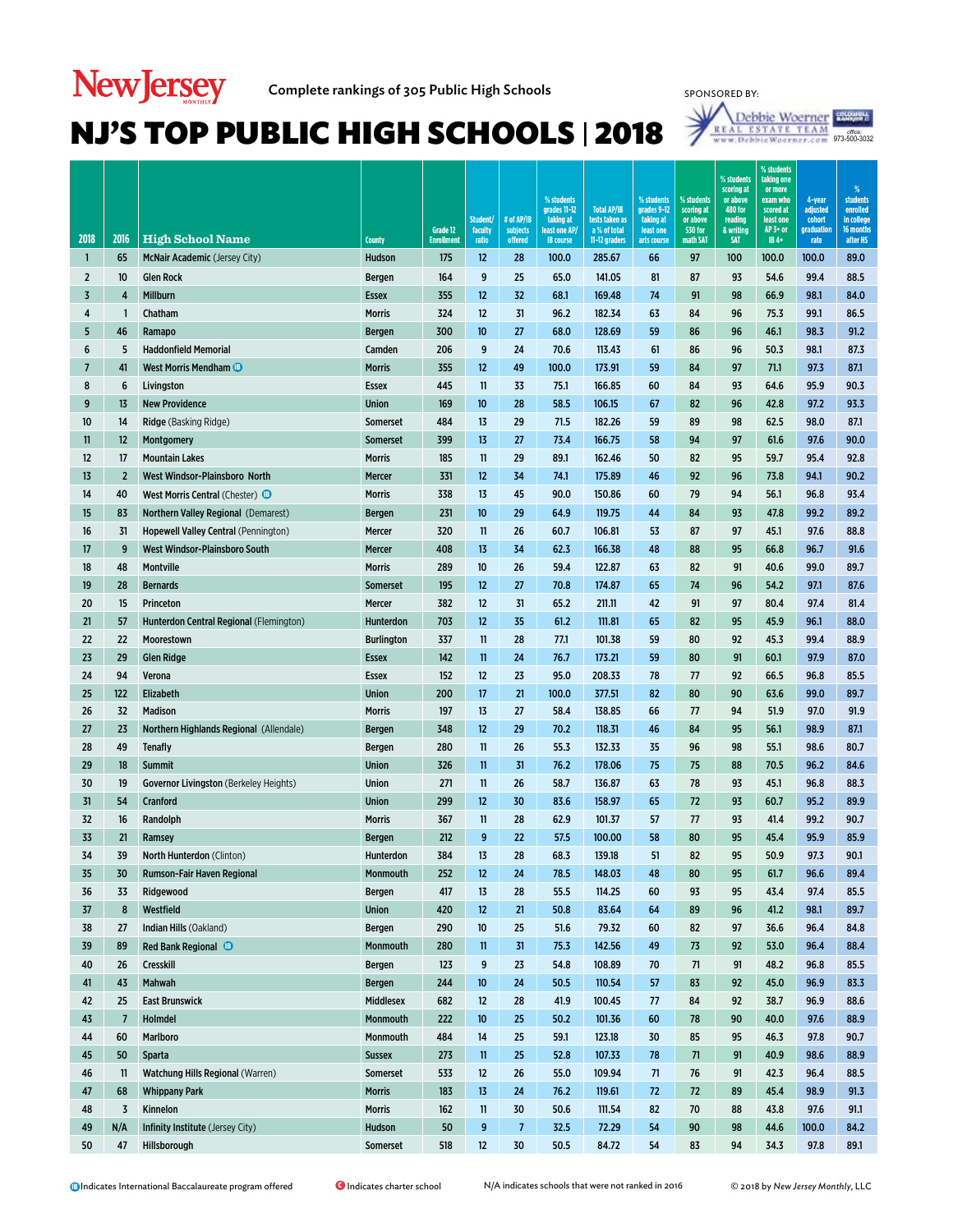

| 2018           | 2016            | <b>High School Name</b>                                  | <b>County</b>                     | Grade 12<br><b>Enrollment</b> | Student/<br>faculty<br>ratio | # of AP/IB<br>subjects<br>offered | % students<br>grades 11-12<br>taking at<br>least one AP/<br><b>IB</b> course | <b>Total AP/IB</b><br>tests taken as<br>a % of total<br>11-12 graders | % students<br>grades 9-12<br>taking at<br>least one<br>arts course | % students<br>scoring at<br>or above<br><b>530 for</b><br>math SAT | % students<br>scoring at<br>or above<br><b>480 for</b><br>reading<br>& writing<br><b>SAT</b> | % students<br>taking one<br>or more<br>exam who<br>scored at<br>least one<br>AP 3+ or<br>$IB4+$ | 4-year<br>adjusted<br>cohort<br>graduation<br>rate | %<br><b>students</b><br>enrolled<br>in college<br>16 months<br>after HS |
|----------------|-----------------|----------------------------------------------------------|-----------------------------------|-------------------------------|------------------------------|-----------------------------------|------------------------------------------------------------------------------|-----------------------------------------------------------------------|--------------------------------------------------------------------|--------------------------------------------------------------------|----------------------------------------------------------------------------------------------|-------------------------------------------------------------------------------------------------|----------------------------------------------------|-------------------------------------------------------------------------|
| 1              | 65              | McNair Academic (Jersey City)                            | Hudson                            | 175                           | 12                           | 28                                | 100.0                                                                        | 285.67                                                                | 66                                                                 | 97                                                                 | 100                                                                                          | 100.0                                                                                           | 100.0                                              | 89.0                                                                    |
| $\overline{2}$ | 10 <sup>°</sup> | <b>Glen Rock</b>                                         | Bergen                            | 164                           | 9                            | 25                                | 65.0                                                                         | 141.05                                                                | 81                                                                 | 87                                                                 | 93                                                                                           | 54.6                                                                                            | 99.4                                               | 88.5                                                                    |
| $\overline{3}$ | 4               | Millburn                                                 | <b>Essex</b>                      | 355                           | 12                           | 32                                | 68.1                                                                         | 169.48                                                                | 74                                                                 | 91                                                                 | 98                                                                                           | 66.9                                                                                            | 98.1                                               | 84.0                                                                    |
| 4              | $\mathbf{1}$    | Chatham                                                  | <b>Morris</b>                     | 324                           | 12                           | 31                                | 96.2                                                                         | 182.34                                                                | 63                                                                 | 84                                                                 | 96                                                                                           | 75.3                                                                                            | 99.1                                               | 86.5                                                                    |
| 5              | 46              | Ramapo                                                   | <b>Bergen</b>                     | 300                           | 10                           | 27                                | 68.0                                                                         | 128.69                                                                | 59                                                                 | 86                                                                 | 96                                                                                           | 46.1                                                                                            | 98.3                                               | 91.2                                                                    |
| 6              | 5               | <b>Haddonfield Memorial</b>                              | Camden                            | 206                           | 9                            | 24                                | 70.6                                                                         | 113.43                                                                | 61                                                                 | 86                                                                 | 96                                                                                           | 50.3                                                                                            | 98.1                                               | 87.3                                                                    |
| $\overline{7}$ | 41              | <b>West Morris Mendham B</b>                             | <b>Morris</b>                     | 355                           | 12                           | 49                                | 100.0                                                                        | 173.91                                                                | 59                                                                 | 84                                                                 | 97                                                                                           | 71.1                                                                                            | 97.3                                               | 87.1                                                                    |
| 8              | 6               | Livingston                                               | <b>Essex</b>                      | 445                           | 11                           | 33                                | 75.1                                                                         | 166.85                                                                | 60                                                                 | 84                                                                 | 93                                                                                           | 64.6                                                                                            | 95.9                                               | 90.3                                                                    |
| 9              | 13              | <b>New Providence</b>                                    | Union                             | 169                           | 10 <sup>10</sup>             | 28                                | 58.5                                                                         | 106.15                                                                | 67                                                                 | 82                                                                 | 96                                                                                           | 42.8                                                                                            | 97.2                                               | 93.3                                                                    |
| 10             | 14              | <b>Ridge</b> (Basking Ridge)                             | Somerset                          | 484                           | 13                           | 29                                | 71.5                                                                         | 182.26                                                                | 59                                                                 | 89                                                                 | 98                                                                                           | 62.5                                                                                            | 98.0                                               | 87.1                                                                    |
| 11             | 12              | Montgomery                                               | Somerset                          | 399                           | 13                           | 27                                | 73.4                                                                         | 166.75                                                                | 58                                                                 | 94                                                                 | 97                                                                                           | 61.6                                                                                            | 97.6                                               | 90.0                                                                    |
| 12             | 17              | <b>Mountain Lakes</b>                                    | <b>Morris</b>                     | 185                           | 11                           | 29                                | 89.1                                                                         | 162.46                                                                | 50                                                                 | 82                                                                 | 95                                                                                           | 59.7                                                                                            | 95.4                                               | 92.8                                                                    |
| 13             | $\overline{2}$  | West Windsor-Plainsboro North                            | Mercer                            | 331                           | 12                           | 34                                | 74.1                                                                         | 175.89                                                                | 46                                                                 | 92                                                                 | 96                                                                                           | 73.8                                                                                            | 94.1                                               | 90.2                                                                    |
| 14             | 40              | West Morris Central (Chester) <sup>1</sup>               | <b>Morris</b>                     | 338                           | 13                           | 45                                | 90.0                                                                         | 150.86                                                                | 60                                                                 | 79                                                                 | 94                                                                                           | 56.1                                                                                            | 96.8                                               | 93.4                                                                    |
| 15             | 83              | Northern Valley Regional (Demarest)                      | <b>Bergen</b>                     | 231                           | 10 <sup>°</sup>              | 29                                | 64.9                                                                         | 119.75                                                                | 44                                                                 | 84                                                                 | 93                                                                                           | 47.8                                                                                            | 99.2                                               | 89.2                                                                    |
| 16             | 31              | Hopewell Valley Central (Pennington)                     | Mercer                            | 320                           | 11                           | 26                                | 60.7                                                                         | 106.81                                                                | 53                                                                 | 87                                                                 | 97                                                                                           | 45.1                                                                                            | 97.6                                               | 88.8                                                                    |
| 17             | 9               | West Windsor-Plainsboro South                            | Mercer                            | 408                           | 13                           | 34                                | 62.3                                                                         | 166.38                                                                | 48                                                                 | 88                                                                 | 95                                                                                           | 66.8                                                                                            | 96.7                                               | 91.6                                                                    |
| 18             | 48              | <b>Montville</b>                                         | <b>Morris</b>                     | 289                           | 10 <sup>10</sup>             | 26                                | 59.4                                                                         | 122.87                                                                | 63                                                                 | 82                                                                 | 91                                                                                           | 40.6                                                                                            | 99.0                                               | 89.7                                                                    |
| 19             | 28              | <b>Bernards</b>                                          | <b>Somerset</b>                   | 195                           | 12                           | 27                                | 70.8                                                                         | 174.87                                                                | 65                                                                 | 74                                                                 | 96                                                                                           | 54.2                                                                                            | 97.1                                               | 87.6                                                                    |
| 20             | 15              | Princeton                                                | Mercer                            | 382                           | 12                           | 31                                | 65.2                                                                         | 211.11                                                                | 42                                                                 | 91                                                                 | 97                                                                                           | 80.4                                                                                            | 97.4                                               | 81.4                                                                    |
| 21             | 57              | Hunterdon Central Regional (Flemington)                  | Hunterdon                         | 703                           | 12                           | 35                                | 61.2                                                                         | 111.81                                                                | 65                                                                 | 82                                                                 | 95                                                                                           | 45.9                                                                                            | 96.1                                               | 88.0                                                                    |
| 22             | 22              | Moorestown                                               | <b>Burlington</b>                 | 337                           | 11                           | 28                                | 77.1                                                                         | 101.38                                                                | 59                                                                 | 80                                                                 | 92                                                                                           | 45.3                                                                                            | 99.4                                               | 88.9                                                                    |
| 23             | 29              | <b>Glen Ridge</b>                                        | <b>Essex</b>                      | 142                           | 11                           | 24                                | 76.7                                                                         | 173.21                                                                | 59                                                                 | 80                                                                 | 91                                                                                           | 60.1                                                                                            | 97.9                                               | 87.0                                                                    |
| 24             | 94              | Verona                                                   | <b>Essex</b>                      | 152                           | 12                           | 23                                | 95.0                                                                         | 208.33                                                                | 78                                                                 | 77                                                                 | 92                                                                                           | 66.5                                                                                            | 96.8                                               | 85.5                                                                    |
| 25             | 122             | Elizabeth                                                | Union                             | 200                           | 17                           | 21                                | 100.0                                                                        | 377.51                                                                | 82                                                                 | 80                                                                 | 90                                                                                           | 63.6                                                                                            | 99.0                                               | 89.7                                                                    |
| 26             | 32              | <b>Madison</b>                                           | <b>Morris</b>                     | 197                           | 13                           | 27                                | 58.4                                                                         | 138.85                                                                | 66                                                                 | 77                                                                 | 94                                                                                           | 51.9                                                                                            | 97.0                                               | 91.9                                                                    |
| 27             | 23              | Northern Highlands Regional (Allendale)                  | <b>Bergen</b>                     | 348                           | 12                           | 29                                | 70.2                                                                         | 118.31                                                                | 46                                                                 | 84                                                                 | 95                                                                                           | 56.1                                                                                            | 98.9                                               | 87.1                                                                    |
| 28             | 49              | <b>Tenafly</b>                                           | <b>Bergen</b>                     | 280                           | 11                           | 26                                | 55.3                                                                         | 132.33                                                                | 35                                                                 | 96                                                                 | 98                                                                                           | 55.1                                                                                            | 98.6                                               | 80.7                                                                    |
| 29             | 18              | Summit                                                   | <b>Union</b>                      | 326                           | 11                           | 31                                | 76.2                                                                         | 178.06                                                                | 75                                                                 | 75                                                                 | 88                                                                                           | 70.5                                                                                            | 96.2                                               | 84.6                                                                    |
| 30             | 19              | <b>Governor Livingston</b> (Berkeley Heights)            | <b>Union</b>                      | 271                           | 11                           | 26                                | 58.7                                                                         | 136.87                                                                | 63                                                                 | 78                                                                 | 93                                                                                           | 45.1                                                                                            | 96.8                                               | 88.3                                                                    |
| 31             | 54              | Cranford                                                 | <b>Union</b>                      | 299                           | 12                           | 30                                | 83.6                                                                         | 158.97                                                                | 65                                                                 | 72                                                                 | 93                                                                                           | 60.7                                                                                            | 95.2                                               | 89.9                                                                    |
| 32             | 16              | Randolph                                                 | <b>Morris</b>                     | 367                           | 11                           | 28                                | 62.9                                                                         | 101.37                                                                | 57                                                                 | 77                                                                 | 93                                                                                           | 41.4                                                                                            | 99.2                                               | 90.7                                                                    |
| 33             | 21              | Ramsey                                                   | <b>Bergen</b>                     | 212                           | 9                            | 22                                | 57.5                                                                         | 100.00                                                                | 58                                                                 | 80                                                                 | 95                                                                                           | 45.4                                                                                            | 95.9                                               | 85.9                                                                    |
| 34             | 39              | <b>North Hunterdon (Clinton)</b>                         | Hunterdon                         | 384                           | 13                           | 28                                | 68.3                                                                         | 139.18                                                                | 51                                                                 | 82                                                                 | 95                                                                                           | 50.9                                                                                            | 97.3                                               | 90.1                                                                    |
| 35             | 30              | Rumson-Fair Haven Regional                               | Monmouth                          | 252                           | 12                           | 24                                | 78.5                                                                         | 148.03                                                                | 48                                                                 | 80                                                                 | 95                                                                                           | 61.7                                                                                            | 96.6                                               | 89.4                                                                    |
| 36             | 33              | Ridgewood                                                | Bergen                            | 417                           | 13                           | 28                                | 55.5                                                                         | 114.25                                                                | 60                                                                 | 93                                                                 | 95                                                                                           | 43.4                                                                                            | 97.4                                               | 85.5                                                                    |
| 37             | 8               | Westfield                                                | <b>Union</b>                      | 420                           | 12                           | 21                                | 50.8                                                                         | 83.64                                                                 | 64                                                                 | 89                                                                 | 96                                                                                           | 41.2                                                                                            | 98.1                                               | 89.7                                                                    |
| 38             | 27              | Indian Hills (Oakland)                                   | Bergen                            | 290                           | 10                           | 25                                | 51.6                                                                         | 79.32                                                                 | 60                                                                 | 82                                                                 | 97                                                                                           | 36.6                                                                                            | 96.4                                               | 84.8                                                                    |
| 39             | 89              | Red Bank Regional <sup>®</sup>                           | Monmouth                          | 280                           | $\mathbf{11}$                | 31                                | 75.3                                                                         | 142.56                                                                | 49                                                                 | 73                                                                 | 92                                                                                           | 53.0                                                                                            | 96.4                                               | 88.4                                                                    |
| 40             | 26              | Cresskill                                                | Bergen                            | 123                           | 9                            | 23                                | 54.8                                                                         | 108.89                                                                | 70                                                                 | 71                                                                 | 91                                                                                           | 48.2                                                                                            | 96.8                                               | 85.5                                                                    |
| 41             | 43              | Mahwah                                                   | <b>Bergen</b><br><b>Middlesex</b> | 244                           | 10                           | 24                                | 50.5                                                                         | 110.54                                                                | 57                                                                 | 83                                                                 | 92                                                                                           | 45.0                                                                                            | 96.9                                               | 83.3                                                                    |
| 42             | 25              | <b>East Brunswick</b><br>Holmdel                         |                                   | 682                           | 12<br>10                     | 28                                | 41.9                                                                         | 100.45                                                                | 77                                                                 | 84                                                                 | 92                                                                                           | 38.7                                                                                            | 96.9<br>97.6                                       | 88.6                                                                    |
| 43             | 7               |                                                          | Monmouth                          | 222                           |                              | 25                                | 50.2                                                                         | 101.36                                                                | 60                                                                 | 78                                                                 | 90                                                                                           | 40.0                                                                                            |                                                    | 88.9                                                                    |
| 44             | 60<br>50        | Marlboro                                                 | Monmouth                          | 484                           | 14                           | 25                                | 59.1                                                                         | 123.18                                                                | 30                                                                 | 85                                                                 | 95                                                                                           | 46.3                                                                                            | 97.8                                               | 90.7                                                                    |
| 45<br>46       | 11              | <b>Sparta</b><br><b>Watchung Hills Regional (Warren)</b> | <b>Sussex</b><br>Somerset         | 273<br>533                    | $\mathbf{11}$<br>12          | 25<br>26                          | 52.8<br>55.0                                                                 | 107.33<br>109.94                                                      | 78<br>71                                                           | 71<br>76                                                           | 91<br>91                                                                                     | 40.9<br>42.3                                                                                    | 98.6<br>96.4                                       | 88.9<br>88.5                                                            |
| 47             | 68              | <b>Whippany Park</b>                                     | <b>Morris</b>                     | 183                           | 13                           | 24                                | 76.2                                                                         | 119.61                                                                | 72                                                                 | 72                                                                 | 89                                                                                           | 45.4                                                                                            | 98.9                                               | 91.3                                                                    |
| 48             | 3               | Kinnelon                                                 | <b>Morris</b>                     | 162                           | 11                           | 30                                | 50.6                                                                         | 111.54                                                                | 82                                                                 | 70                                                                 | 88                                                                                           | 43.8                                                                                            | 97.6                                               | 91.1                                                                    |
| 49             | N/A             | Infinity Institute (Jersey City)                         | Hudson                            | 50                            | 9                            | $\overline{7}$                    | 32.5                                                                         | 72.29                                                                 | 54                                                                 | 90                                                                 | 98                                                                                           | 44.6                                                                                            | 100.0                                              | 84.2                                                                    |
| 50             | 47              | Hillsborough                                             | Somerset                          | 518                           | 12                           | 30                                | 50.5                                                                         | 84.72                                                                 | 54                                                                 | 83                                                                 | 94                                                                                           | 34.3                                                                                            | 97.8                                               | 89.1                                                                    |
|                |                 |                                                          |                                   |                               |                              |                                   |                                                                              |                                                                       |                                                                    |                                                                    |                                                                                              |                                                                                                 |                                                    |                                                                         |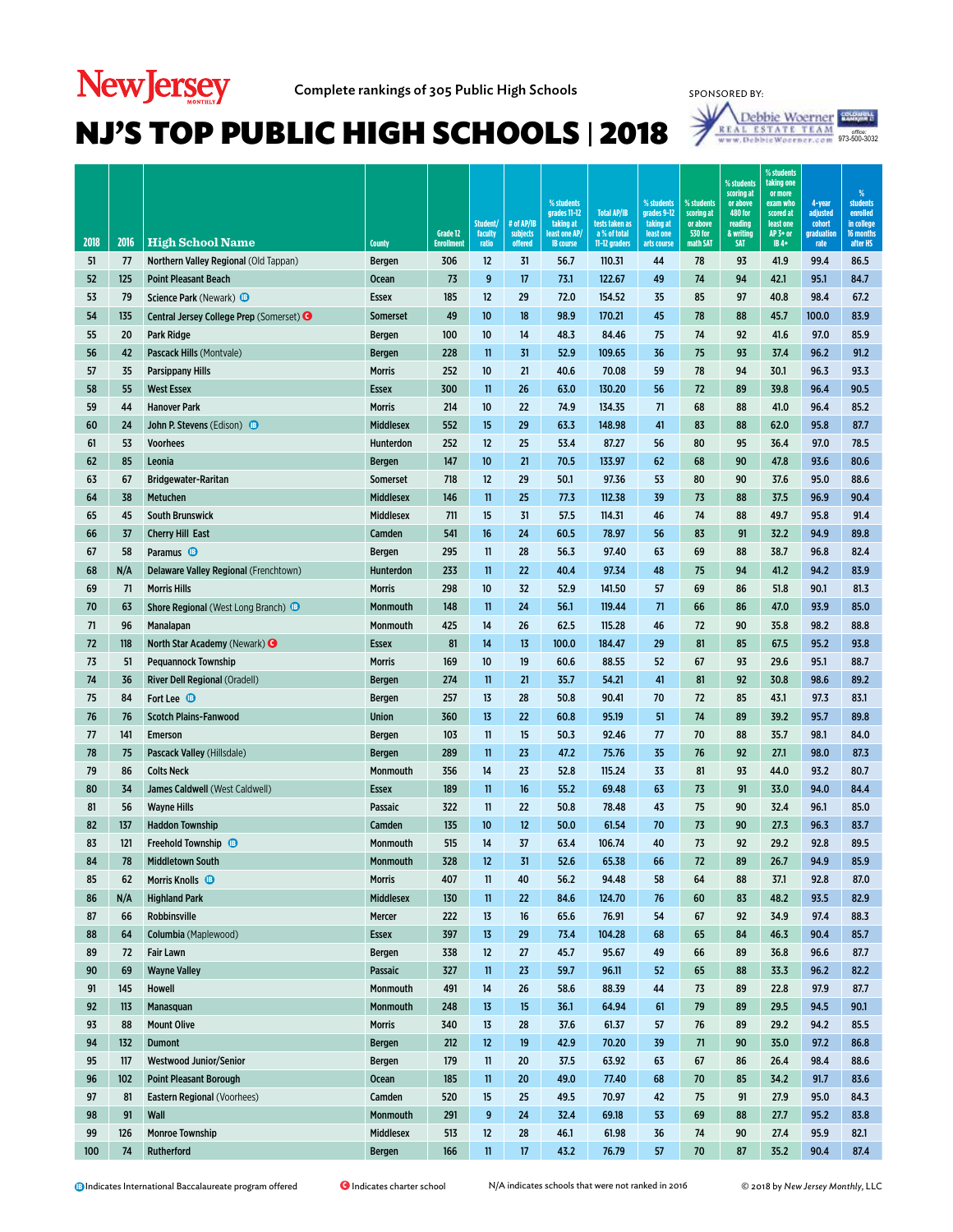# New Jersey Complete rankings of 305 Public High Schools



#### *office:*<br>973-500-3032 SPONSORED BY:<br> $\frac{\text{Debl}}{\text{W} \times \text{Debl}}$

| 2018     | 2016     | <b>High School Name</b>                               | County               | Grade 12<br><b>Enrollment</b> | Student/<br>faculty<br>ratio | # of AP/IB<br>subjects<br>offered | % students<br>grades 11-12<br>taking at<br>least one AP/<br><b>IB</b> course | <b>Total AP/IB</b><br>tests taken as<br>a % of total<br>11-12 graders | % students<br>grades 9-12<br>taking at<br>least one<br>arts course | % students<br>scoring at<br>or above<br><b>530 for</b><br>math SAT | % students<br>scoring at<br>or above<br><b>480 for</b><br>reading<br>& writing<br><b>SAT</b> | % students<br>taking one<br>or more<br>exam who<br>scored at<br>least one<br>AP 3+ or<br>IB 4+ | 4-year<br>adjusted<br>cohort<br>graduation<br>rate | %<br>students<br>enrolled<br>in college<br>16 months<br>after HS |
|----------|----------|-------------------------------------------------------|----------------------|-------------------------------|------------------------------|-----------------------------------|------------------------------------------------------------------------------|-----------------------------------------------------------------------|--------------------------------------------------------------------|--------------------------------------------------------------------|----------------------------------------------------------------------------------------------|------------------------------------------------------------------------------------------------|----------------------------------------------------|------------------------------------------------------------------|
| 51       | 77       | Northern Valley Regional (Old Tappan)                 | Bergen               | 306                           | 12                           | 31                                | 56.7                                                                         | 110.31                                                                | 44                                                                 | 78                                                                 | 93                                                                                           | 41.9                                                                                           | 99.4                                               | 86.5                                                             |
| 52       | 125      | <b>Point Pleasant Beach</b>                           | <b>Ocean</b>         | 73                            | 9                            | 17                                | 73.1                                                                         | 122.67                                                                | 49                                                                 | 74                                                                 | 94                                                                                           | 42.1                                                                                           | 95.1                                               | 84.7                                                             |
| 53       | 79       | <b>Science Park (Newark) B</b>                        | <b>Essex</b>         | 185                           | 12                           | 29                                | 72.0                                                                         | 154.52                                                                | 35                                                                 | 85                                                                 | 97                                                                                           | 40.8                                                                                           | 98.4                                               | 67.2                                                             |
| 54       | 135      | Central Jersey College Prep (Somerset) <sup>3</sup>   | <b>Somerset</b>      | 49                            | 10 <sup>°</sup>              | 18                                | 98.9                                                                         | 170.21                                                                | 45                                                                 | 78                                                                 | 88                                                                                           | 45.7                                                                                           | 100.0                                              | 83.9                                                             |
| 55       | 20       | Park Ridge                                            | Bergen               | 100                           | 10                           | 14                                | 48.3                                                                         | 84.46                                                                 | 75                                                                 | 74                                                                 | 92                                                                                           | 41.6                                                                                           | 97.0                                               | 85.9                                                             |
| 56       | 42       | Pascack Hills (Montvale)                              | Bergen               | 228                           | $\mathbf{11}$                | 31                                | 52.9                                                                         | 109.65                                                                | 36                                                                 | 75                                                                 | 93                                                                                           | 37.4                                                                                           | 96.2                                               | 91.2                                                             |
| 57       | 35       | <b>Parsippany Hills</b>                               | <b>Morris</b>        | 252                           | 10                           | 21                                | 40.6                                                                         | 70.08                                                                 | 59                                                                 | 78                                                                 | 94                                                                                           | 30.1                                                                                           | 96.3                                               | 93.3                                                             |
| 58       | 55       | <b>West Essex</b>                                     | <b>Essex</b>         | 300                           | $\mathbf{11}$                | 26                                | 63.0                                                                         | 130.20                                                                | 56                                                                 | 72                                                                 | 89                                                                                           | 39.8                                                                                           | 96.4                                               | 90.5                                                             |
| 59       | 44       | <b>Hanover Park</b>                                   | <b>Morris</b>        | 214                           | 10                           | 22                                | 74.9                                                                         | 134.35                                                                | 71                                                                 | 68                                                                 | 88                                                                                           | 41.0                                                                                           | 96.4                                               | 85.2                                                             |
| 60       | 24       | John P. Stevens (Edison) <b>B</b>                     | <b>Middlesex</b>     | 552                           | 15                           | 29                                | 63.3                                                                         | 148.98                                                                | 41                                                                 | 83                                                                 | 88                                                                                           | 62.0                                                                                           | 95.8                                               | 87.7                                                             |
| 61       | 53       | <b>Voorhees</b>                                       | Hunterdon            | 252                           | 12                           | 25                                | 53.4                                                                         | 87.27                                                                 | 56                                                                 | 80                                                                 | 95                                                                                           | 36.4                                                                                           | 97.0                                               | 78.5                                                             |
| 62       | 85       | Leonia                                                | <b>Bergen</b>        | 147                           | 10 <sup>°</sup>              | 21                                | 70.5                                                                         | 133.97                                                                | 62                                                                 | 68                                                                 | 90                                                                                           | 47.8                                                                                           | 93.6                                               | 80.6                                                             |
| 63       | 67       | <b>Bridgewater-Raritan</b>                            | <b>Somerset</b>      | 718                           | 12                           | 29                                | 50.1                                                                         | 97.36                                                                 | 53                                                                 | 80                                                                 | 90                                                                                           | 37.6                                                                                           | 95.0                                               | 88.6                                                             |
| 64       | 38       | Metuchen                                              | <b>Middlesex</b>     | 146                           | $\mathbf{11}$                | 25                                | 77.3                                                                         | 112.38                                                                | 39                                                                 | 73                                                                 | 88                                                                                           | 37.5                                                                                           | 96.9                                               | 90.4                                                             |
| 65       | 45       | <b>South Brunswick</b>                                | <b>Middlesex</b>     | 711                           | 15                           | 31                                | 57.5                                                                         | 114.31                                                                | 46                                                                 | 74                                                                 | 88                                                                                           | 49.7                                                                                           | 95.8                                               | 91.4                                                             |
| 66       | 37       | <b>Cherry Hill East</b>                               | Camden               | 541                           | 16                           | 24                                | 60.5                                                                         | 78.97                                                                 | 56                                                                 | 83                                                                 | 91                                                                                           | 32.2                                                                                           | 94.9                                               | 89.8                                                             |
| 67       | 58       | Paramus <sup>®</sup>                                  | <b>Bergen</b>        | 295                           | 11                           | 28                                | 56.3                                                                         | 97.40                                                                 | 63                                                                 | 69                                                                 | 88                                                                                           | 38.7                                                                                           | 96.8                                               | 82.4                                                             |
| 68       | N/A      | Delaware Valley Regional (Frenchtown)                 | Hunterdon            | 233                           | $\mathbf{11}$                | 22                                | 40.4                                                                         | 97.34                                                                 | 48                                                                 | 75                                                                 | 94                                                                                           | 41.2                                                                                           | 94.2                                               | 83.9                                                             |
| 69       | 71       | <b>Morris Hills</b>                                   | <b>Morris</b>        | 298                           | 10                           | 32                                | 52.9                                                                         | 141.50                                                                | 57                                                                 | 69                                                                 | 86                                                                                           | 51.8                                                                                           | 90.1                                               | 81.3                                                             |
| 70       | 63       | Shore Regional (West Long Branch) <sup>B</sup>        | Monmouth             | 148                           | 11                           | 24                                | 56.1                                                                         | 119.44                                                                | 71                                                                 | 66                                                                 | 86                                                                                           | 47.0                                                                                           | 93.9                                               | 85.0                                                             |
| 71       | 96       | Manalapan                                             | Monmouth             | 425                           | 14                           | 26                                | 62.5                                                                         | 115.28                                                                | 46                                                                 | 72                                                                 | 90                                                                                           | 35.8                                                                                           | 98.2                                               | 88.8                                                             |
| 72       | 118      | North Star Academy (Newark) <sup>O</sup>              | <b>Essex</b>         | 81                            | 14                           | 13                                | 100.0                                                                        | 184.47                                                                | 29                                                                 | 81                                                                 | 85                                                                                           | 67.5                                                                                           | 95.2                                               | 93.8                                                             |
| 73       | 51       | <b>Pequannock Township</b>                            | Morris               | 169                           | 10                           | 19                                | 60.6                                                                         | 88.55                                                                 | 52                                                                 | 67                                                                 | 93                                                                                           | 29.6                                                                                           | 95.1                                               | 88.7                                                             |
| 74       | 36       | <b>River Dell Regional (Oradell)</b>                  | <b>Bergen</b>        | 274                           | $\mathbf{11}$                | 21                                | 35.7                                                                         | 54.21                                                                 | 41                                                                 | 81                                                                 | 92                                                                                           | 30.8                                                                                           | 98.6                                               | 89.2                                                             |
| 75       | 84       | Fort Lee $\bullet$                                    | Bergen               | 257                           | 13                           | 28                                | 50.8                                                                         | 90.41                                                                 | 70                                                                 | 72                                                                 | 85                                                                                           | 43.1                                                                                           | 97.3                                               | 83.1                                                             |
| 76       | 76       | <b>Scotch Plains-Fanwood</b>                          | <b>Union</b>         | 360                           | 13                           | 22                                | 60.8                                                                         | 95.19                                                                 | 51                                                                 | 74                                                                 | 89                                                                                           | 39.2                                                                                           | 95.7                                               | 89.8                                                             |
| 77       | 141      | <b>Emerson</b>                                        | <b>Bergen</b>        | 103                           | 11                           | 15                                | 50.3                                                                         | 92.46                                                                 | 77                                                                 | 70                                                                 | 88                                                                                           | 35.7                                                                                           | 98.1                                               | 84.0                                                             |
| 78       | 75       | Pascack Valley (Hillsdale)                            | <b>Bergen</b>        | 289                           | $\mathbf{11}$                | 23                                | 47.2                                                                         | 75.76                                                                 | 35                                                                 | 76                                                                 | 92                                                                                           | 27.1                                                                                           | 98.0                                               | 87.3                                                             |
| 79       | 86       | <b>Colts Neck</b>                                     | Monmouth             | 356                           | 14                           | 23                                | 52.8                                                                         | 115.24                                                                | 33                                                                 | 81                                                                 | 93                                                                                           | 44.0                                                                                           | 93.2                                               | 80.7                                                             |
| 80       | 34       | James Caldwell (West Caldwell)                        | <b>Essex</b>         | 189                           | $\mathbf{11}$                | 16                                | 55.2                                                                         | 69.48                                                                 | 63                                                                 | 73                                                                 | 91                                                                                           | 33.0                                                                                           | 94.0                                               | 84.4                                                             |
| 81       | 56       | <b>Wayne Hills</b>                                    | Passaic              | 322                           | $\mathbf{11}$                | 22                                | 50.8                                                                         | 78.48                                                                 | 43                                                                 | 75                                                                 | 90                                                                                           | 32.4                                                                                           | 96.1<br>96.3                                       | 85.0<br>83.7                                                     |
| 82<br>83 | 137      | <b>Haddon Township</b>                                | Camden               | 135<br>515                    | 10 <sup>°</sup><br>14        | 12 <sup>2</sup><br>37             | 50.0<br>63.4                                                                 | 61.54<br>106.74                                                       | 70<br>40                                                           | 73<br>73                                                           | 90<br>92                                                                                     | 27.3<br>29.2                                                                                   | 92.8                                               | 89.5                                                             |
| 84       | 121      | <b>Freehold Township B</b>                            | Monmouth<br>Monmouth |                               | 12                           | 31                                | 52.6                                                                         | 65.38                                                                 | 66                                                                 | 72                                                                 | 89                                                                                           |                                                                                                | 94.9                                               | 85.9                                                             |
| 85       | 78<br>62 | <b>Middletown South</b><br>Morris Knolls <sup>®</sup> | <b>Morris</b>        | 328<br>407                    | $\mathbf{11}$                | 40                                | 56.2                                                                         | 94.48                                                                 | 58                                                                 | 64                                                                 | 88                                                                                           | 26.7<br>37.1                                                                                   | 92.8                                               | 87.0                                                             |
| 86       | N/A      | <b>Highland Park</b>                                  | <b>Middlesex</b>     | 130                           | 11                           | 22                                | 84.6                                                                         | 124.70                                                                | 76                                                                 | 60                                                                 | 83                                                                                           | 48.2                                                                                           | 93.5                                               | 82.9                                                             |
| 87       | 66       | Robbinsville                                          | Mercer               | 222                           | 13                           | 16                                | 65.6                                                                         | 76.91                                                                 | 54                                                                 | 67                                                                 | 92                                                                                           | 34.9                                                                                           | 97.4                                               | 88.3                                                             |
| 88       | 64       | Columbia (Maplewood)                                  | <b>Essex</b>         | 397                           | 13                           | 29                                | 73.4                                                                         | 104.28                                                                | 68                                                                 | 65                                                                 | 84                                                                                           | 46.3                                                                                           | 90.4                                               | 85.7                                                             |
| 89       | 72       | <b>Fair Lawn</b>                                      | Bergen               | 338                           | $12 \overline{ }$            | 27                                | 45.7                                                                         | 95.67                                                                 | 49                                                                 | 66                                                                 | 89                                                                                           | 36.8                                                                                           | 96.6                                               | 87.7                                                             |
| 90       | 69       | <b>Wayne Valley</b>                                   | Passaic              | 327                           | $\mathbf{11}$                | 23                                | 59.7                                                                         | 96.11                                                                 | 52                                                                 | 65                                                                 | 88                                                                                           | 33.3                                                                                           | 96.2                                               | 82.2                                                             |
| 91       | 145      | Howell                                                | Monmouth             | 491                           | 14                           | 26                                | 58.6                                                                         | 88.39                                                                 | 44                                                                 | 73                                                                 | 89                                                                                           | 22.8                                                                                           | 97.9                                               | 87.7                                                             |
| 92       | 113      | Manasquan                                             | <b>Monmouth</b>      | 248                           | 13                           | 15                                | 36.1                                                                         | 64.94                                                                 | 61                                                                 | 79                                                                 | 89                                                                                           | 29.5                                                                                           | 94.5                                               | 90.1                                                             |
| 93       | 88       | <b>Mount Olive</b>                                    | <b>Morris</b>        | 340                           | 13                           | 28                                | 37.6                                                                         | 61.37                                                                 | 57                                                                 | 76                                                                 | 89                                                                                           | 29.2                                                                                           | 94.2                                               | 85.5                                                             |
| 94       | 132      | Dumont                                                | <b>Bergen</b>        | 212                           | $12 \overline{ }$            | 19                                | 42.9                                                                         | 70.20                                                                 | 39                                                                 | 71                                                                 | 90                                                                                           | 35.0                                                                                           | 97.2                                               | 86.8                                                             |
| 95       | 117      | <b>Westwood Junior/Senior</b>                         | Bergen               | 179                           | $\mathbf{11}$                | 20                                | 37.5                                                                         | 63.92                                                                 | 63                                                                 | 67                                                                 | 86                                                                                           | 26.4                                                                                           | 98.4                                               | 88.6                                                             |
| 96       | 102      | <b>Point Pleasant Borough</b>                         | Ocean                | 185                           | $\mathbf{11}$                | 20                                | 49.0                                                                         | 77.40                                                                 | 68                                                                 | 70                                                                 | 85                                                                                           | 34.2                                                                                           | 91.7                                               | 83.6                                                             |
| 97       | 81       | Eastern Regional (Voorhees)                           | Camden               | 520                           | 15                           | 25                                | 49.5                                                                         | 70.97                                                                 | 42                                                                 | 75                                                                 | 91                                                                                           | 27.9                                                                                           | 95.0                                               | 84.3                                                             |
| 98       | 91       | Wall                                                  | Monmouth             | 291                           | 9                            | 24                                | 32.4                                                                         | 69.18                                                                 | 53                                                                 | 69                                                                 | 88                                                                                           | 27.7                                                                                           | 95.2                                               | 83.8                                                             |
| 99       | 126      | <b>Monroe Township</b>                                | <b>Middlesex</b>     | 513                           | 12                           | 28                                | 46.1                                                                         | 61.98                                                                 | 36                                                                 | 74                                                                 | 90                                                                                           | 27.4                                                                                           | 95.9                                               | 82.1                                                             |
| 100      | 74       | Rutherford                                            | <b>Bergen</b>        | 166                           | $\mathbf{n}$                 | $17\phantom{.0}$                  | 43.2                                                                         | 76.79                                                                 | 57                                                                 | 70                                                                 | 87                                                                                           | 35.2                                                                                           | 90.4                                               | 87.4                                                             |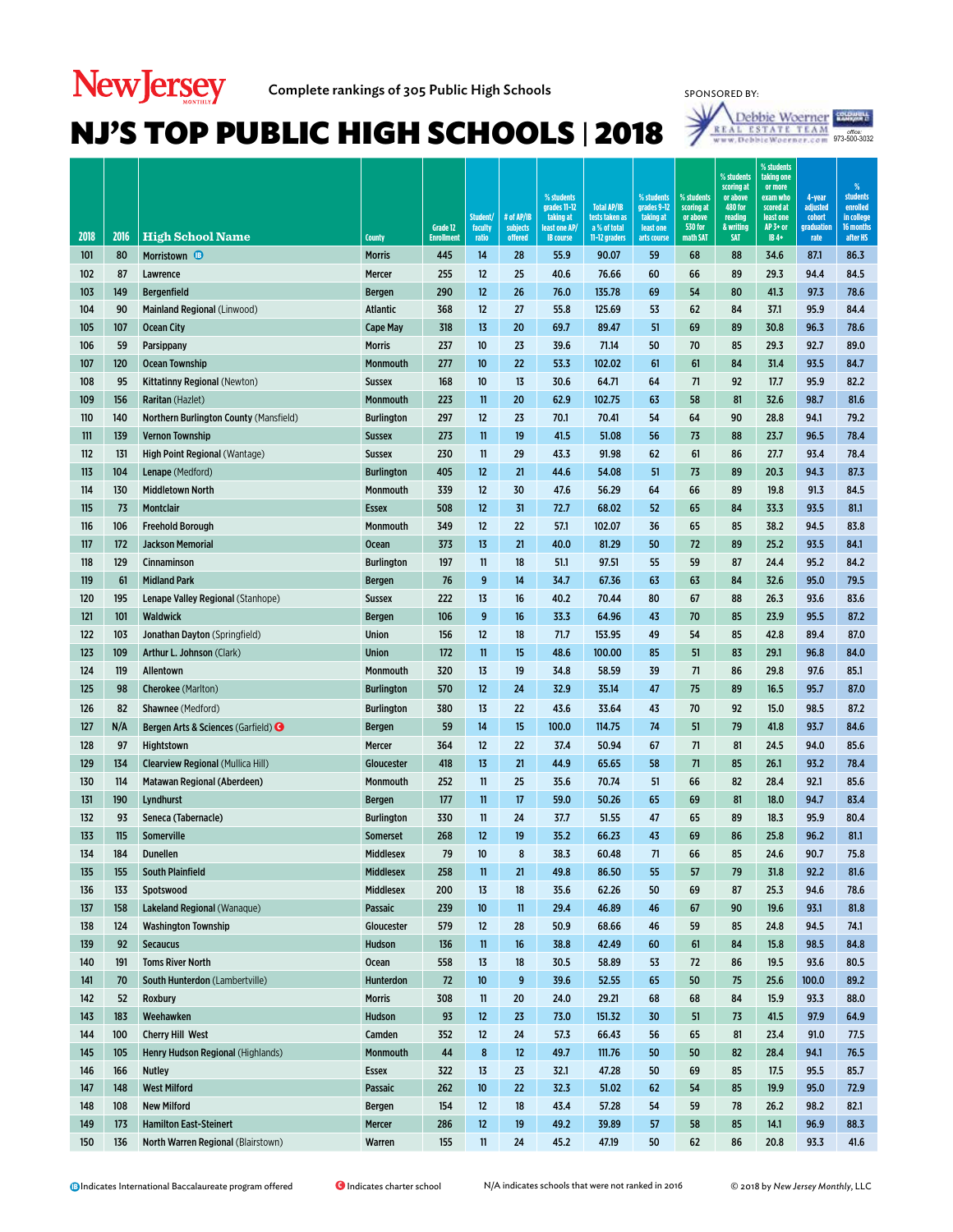

| 2018 | 2016 | <b>High School Name</b>                        | <b>County</b>     | Grade 12<br><b>Enrollment</b> | Student/<br>faculty<br>ratio | # of AP/IB<br>subjects<br>offered | % students<br>grades 11-12<br>taking at<br>least one AP/<br><b>IB</b> course | <b>Total AP/IB</b><br>tests taken as<br>a % of total<br>11-12 graders | % students<br>grades 9-12<br>taking at<br>least one<br>arts course | % students<br>scoring at<br>or above<br><b>530 for</b><br>math SAT | % students<br>scoring at<br>or above<br><b>480 for</b><br>reading<br>& writing<br><b>SAT</b> | % students<br>taking one<br>or more<br>exam who<br>scored at<br>least one<br>$AP3+$ or<br>IB 4+ | 4-year<br>adjusted<br>cohort<br>graduation<br>rate | %<br>students<br>enrolled<br>in college<br>16 months<br>after HS |
|------|------|------------------------------------------------|-------------------|-------------------------------|------------------------------|-----------------------------------|------------------------------------------------------------------------------|-----------------------------------------------------------------------|--------------------------------------------------------------------|--------------------------------------------------------------------|----------------------------------------------------------------------------------------------|-------------------------------------------------------------------------------------------------|----------------------------------------------------|------------------------------------------------------------------|
| 101  | 80   | Morristown <b>D</b>                            | <b>Morris</b>     | 445                           | 14                           | 28                                | 55.9                                                                         | 90.07                                                                 | 59                                                                 | 68                                                                 | 88                                                                                           | 34.6                                                                                            | 87.1                                               | 86.3                                                             |
| 102  | 87   | Lawrence                                       | Mercer            | 255                           | 12                           | 25                                | 40.6                                                                         | 76.66                                                                 | 60                                                                 | 66                                                                 | 89                                                                                           | 29.3                                                                                            | 94.4                                               | 84.5                                                             |
| 103  | 149  | <b>Bergenfield</b>                             | <b>Bergen</b>     | 290                           | 12                           | 26                                | 76.0                                                                         | 135.78                                                                | 69                                                                 | 54                                                                 | 80                                                                                           | 41.3                                                                                            | 97.3                                               | 78.6                                                             |
| 104  | 90   | Mainland Regional (Linwood)                    | <b>Atlantic</b>   | 368                           | 12                           | 27                                | 55.8                                                                         | 125.69                                                                | 53                                                                 | 62                                                                 | 84                                                                                           | 37.1                                                                                            | 95.9                                               | 84.4                                                             |
| 105  | 107  | <b>Ocean City</b>                              | <b>Cape May</b>   | 318                           | 13                           | 20                                | 69.7                                                                         | 89.47                                                                 | 51                                                                 | 69                                                                 | 89                                                                                           | 30.8                                                                                            | 96.3                                               | 78.6                                                             |
| 106  | 59   | Parsippany                                     | <b>Morris</b>     | 237                           | 10                           | 23                                | 39.6                                                                         | 71.14                                                                 | 50                                                                 | 70                                                                 | 85                                                                                           | 29.3                                                                                            | 92.7                                               | 89.0                                                             |
| 107  | 120  | <b>Ocean Township</b>                          | Monmouth          | 277                           | 10                           | 22                                | 53.3                                                                         | 102.02                                                                | 61                                                                 | 61                                                                 | 84                                                                                           | 31.4                                                                                            | 93.5                                               | 84.7                                                             |
| 108  | 95   | Kittatinny Regional (Newton)                   | <b>Sussex</b>     | 168                           | 10                           | 13                                | 30.6                                                                         | 64.71                                                                 | 64                                                                 | 71                                                                 | 92                                                                                           | 17.7                                                                                            | 95.9                                               | 82.2                                                             |
| 109  | 156  | <b>Raritan</b> (Hazlet)                        | Monmouth          | 223                           | $\mathbf{11}$                | 20                                | 62.9                                                                         | 102.75                                                                | 63                                                                 | 58                                                                 | 81                                                                                           | 32.6                                                                                            | 98.7                                               | 81.6                                                             |
| 110  | 140  | Northern Burlington County (Mansfield)         | <b>Burlington</b> | 297                           | 12                           | 23                                | 70.1                                                                         | 70.41                                                                 | 54                                                                 | 64                                                                 | 90                                                                                           | 28.8                                                                                            | 94.1                                               | 79.2                                                             |
| 111  | 139  | <b>Vernon Township</b>                         | <b>Sussex</b>     | 273                           | 11                           | 19                                | 41.5                                                                         | 51.08                                                                 | 56                                                                 | 73                                                                 | 88                                                                                           | 23.7                                                                                            | 96.5                                               | 78.4                                                             |
| 112  | 131  | High Point Regional (Wantage)                  | <b>Sussex</b>     | 230                           | 11                           | 29                                | 43.3                                                                         | 91.98                                                                 | 62                                                                 | 61                                                                 | 86                                                                                           | 27.7                                                                                            | 93.4                                               | 78.4                                                             |
| 113  | 104  | Lenape (Medford)                               | <b>Burlington</b> | 405                           | 12                           | 21                                | 44.6                                                                         | 54.08                                                                 | 51                                                                 | 73                                                                 | 89                                                                                           | 20.3                                                                                            | 94.3                                               | 87.3                                                             |
| 114  | 130  | <b>Middletown North</b>                        | Monmouth          | 339                           | 12                           | 30                                | 47.6                                                                         | 56.29                                                                 | 64                                                                 | 66                                                                 | 89                                                                                           | 19.8                                                                                            | 91.3                                               | 84.5                                                             |
| 115  | 73   | <b>Montclair</b>                               | <b>Essex</b>      | 508                           | 12                           | 31                                | 72.7                                                                         | 68.02                                                                 | 52                                                                 | 65                                                                 | 84                                                                                           | 33.3                                                                                            | 93.5                                               | 81.1                                                             |
| 116  | 106  | <b>Freehold Borough</b>                        | Monmouth          | 349                           | 12                           | 22                                | 57.1                                                                         | 102.07                                                                | 36                                                                 | 65                                                                 | 85                                                                                           | 38.2                                                                                            | 94.5                                               | 83.8                                                             |
| 117  | 172  | <b>Jackson Memorial</b>                        | <b>Ocean</b>      | 373                           | 13                           | 21                                | 40.0                                                                         | 81.29                                                                 | 50                                                                 | 72                                                                 | 89                                                                                           | 25.2                                                                                            | 93.5                                               | 84.1                                                             |
| 118  | 129  | <b>Cinnaminson</b>                             | <b>Burlington</b> | 197                           | 11                           | 18                                | 51.1                                                                         | 97.51                                                                 | 55                                                                 | 59                                                                 | 87                                                                                           | 24.4                                                                                            | 95.2                                               | 84.2                                                             |
| 119  | 61   | <b>Midland Park</b>                            | <b>Bergen</b>     | 76                            | 9                            | 14                                | 34.7                                                                         | 67.36                                                                 | 63                                                                 | 63                                                                 | 84                                                                                           | 32.6                                                                                            | 95.0                                               | 79.5                                                             |
| 120  | 195  | Lenape Valley Regional (Stanhope)              | <b>Sussex</b>     | 222                           | 13                           | 16                                | 40.2                                                                         | 70.44                                                                 | 80                                                                 | 67                                                                 | 88                                                                                           | 26.3                                                                                            | 93.6                                               | 83.6                                                             |
| 121  | 101  | <b>Waldwick</b>                                | <b>Bergen</b>     | 106                           | 9                            | 16                                | 33.3                                                                         | 64.96                                                                 | 43                                                                 | 70                                                                 | 85                                                                                           | 23.9                                                                                            | 95.5                                               | 87.2                                                             |
| 122  | 103  | Jonathan Dayton (Springfield)                  | <b>Union</b>      | 156                           | 12                           | 18                                | 71.7                                                                         | 153.95                                                                | 49                                                                 | 54                                                                 | 85                                                                                           | 42.8                                                                                            | 89.4                                               | 87.0                                                             |
| 123  | 109  | Arthur L. Johnson (Clark)                      | <b>Union</b>      | 172                           | $\mathbf{11}$                | 15                                | 48.6                                                                         | 100.00                                                                | 85                                                                 | 51                                                                 | 83                                                                                           | 29.1                                                                                            | 96.8                                               | 84.0                                                             |
| 124  | 119  | Allentown                                      | Monmouth          | 320                           | 13                           | 19                                | 34.8                                                                         | 58.59                                                                 | 39                                                                 | 71                                                                 | 86                                                                                           | 29.8                                                                                            | 97.6                                               | 85.1                                                             |
| 125  | 98   | Cherokee (Marlton)                             | <b>Burlington</b> | 570                           | 12                           | 24                                | 32.9                                                                         | 35.14                                                                 | 47                                                                 | 75                                                                 | 89                                                                                           | 16.5                                                                                            | 95.7                                               | 87.0                                                             |
| 126  | 82   | Shawnee (Medford)                              | <b>Burlington</b> | 380                           | 13                           | 22                                | 43.6                                                                         | 33.64                                                                 | 43                                                                 | 70                                                                 | 92                                                                                           | 15.0                                                                                            | 98.5                                               | 87.2                                                             |
| 127  | N/A  | Bergen Arts & Sciences (Garfield) <sup>O</sup> | <b>Bergen</b>     | 59                            | 14                           | 15                                | 100.0                                                                        | 114.75                                                                | 74                                                                 | 51                                                                 | 79                                                                                           | 41.8                                                                                            | 93.7                                               | 84.6                                                             |
| 128  | 97   | Hightstown                                     | Mercer            | 364                           | 12                           | 22                                | 37.4                                                                         | 50.94                                                                 | 67                                                                 | 71                                                                 | 81                                                                                           | 24.5                                                                                            | 94.0                                               | 85.6                                                             |
| 129  | 134  | <b>Clearview Regional (Mullica Hill)</b>       | Gloucester        | 418                           | 13                           | 21                                | 44.9                                                                         | 65.65                                                                 | 58                                                                 | 71                                                                 | 85                                                                                           | 26.1                                                                                            | 93.2                                               | 78.4                                                             |
| 130  | 114  | Matawan Regional (Aberdeen)                    | Monmouth          | 252                           | 11                           | 25                                | 35.6                                                                         | 70.74                                                                 | 51                                                                 | 66                                                                 | 82                                                                                           | 28.4                                                                                            | 92.1                                               | 85.6                                                             |
| 131  | 190  | Lyndhurst                                      | <b>Bergen</b>     | 177                           | 11                           | 17                                | 59.0                                                                         | 50.26                                                                 | 65                                                                 | 69                                                                 | 81                                                                                           | 18.0                                                                                            | 94.7                                               | 83.4                                                             |
| 132  | 93   | Seneca (Tabernacle)                            | <b>Burlington</b> | 330                           | 11                           | 24                                | 37.7                                                                         | 51.55                                                                 | 47                                                                 | 65                                                                 | 89                                                                                           | 18.3                                                                                            | 95.9                                               | 80.4                                                             |
| 133  | 115  | Somerville                                     | <b>Somerset</b>   | 268                           | 12                           | 19                                | 35.2                                                                         | 66.23                                                                 | 43                                                                 | 69                                                                 | 86                                                                                           | 25.8                                                                                            | 96.2                                               | 81.1                                                             |
| 134  | 184  | <b>Dunellen</b>                                | Middlesex         | 79                            | 10                           | 8                                 | 38.3                                                                         | 60.48                                                                 | 71                                                                 | 66                                                                 | 85                                                                                           | 24.6                                                                                            | 90.7                                               | 75.8                                                             |
| 135  | 155  | <b>South Plainfield</b>                        | <b>Middlesex</b>  | 258                           | $\mathbf{11}$                | 21                                | 49.8                                                                         | 86.50                                                                 | 55                                                                 | 57                                                                 | 79                                                                                           | 31.8                                                                                            | 92.2                                               | 81.6                                                             |
| 136  | 133  | Spotswood                                      | Middlesex         | 200                           | 13                           | 18                                | 35.6                                                                         | 62.26                                                                 | 50                                                                 | 69                                                                 | 87                                                                                           | 25.3                                                                                            | 94.6                                               | 78.6                                                             |
| 137  | 158  | Lakeland Regional (Wanaque)                    | Passaic           | 239                           | 10                           | $\overline{\mathbf{1}}$           | 29.4                                                                         | 46.89                                                                 | 46                                                                 | 67                                                                 | 90                                                                                           | 19.6                                                                                            | 93.1                                               | 81.8                                                             |
| 138  | 124  | <b>Washington Township</b>                     | Gloucester        | 579                           | 12                           | 28                                | 50.9                                                                         | 68.66                                                                 | 46                                                                 | 59                                                                 | 85                                                                                           | 24.8                                                                                            | 94.5                                               | 74.1                                                             |
| 139  | 92   | <b>Secaucus</b>                                | Hudson            | 136                           | $\mathbf{11}$                | 16                                | 38.8                                                                         | 42.49                                                                 | 60                                                                 | 61                                                                 | 84                                                                                           | 15.8                                                                                            | 98.5                                               | 84.8                                                             |
| 140  | 191  | <b>Toms River North</b>                        | Ocean             | 558                           | 13                           | 18                                | 30.5                                                                         | 58.89                                                                 | 53                                                                 | 72                                                                 | 86                                                                                           | 19.5                                                                                            | 93.6                                               | 80.5                                                             |
| 141  | 70   | South Hunterdon (Lambertville)                 | Hunterdon         | 72                            | 10                           | 9                                 | 39.6                                                                         | 52.55                                                                 | 65                                                                 | 50                                                                 | 75                                                                                           | 25.6                                                                                            | 100.0                                              | 89.2                                                             |
| 142  | 52   | Roxbury                                        | <b>Morris</b>     | 308                           | 11                           | 20                                | 24.0                                                                         | 29.21                                                                 | 68                                                                 | 68                                                                 | 84                                                                                           | 15.9                                                                                            | 93.3                                               | 88.0                                                             |
| 143  | 183  | Weehawken                                      | Hudson            | 93                            | 12                           | 23                                | 73.0                                                                         | 151.32                                                                | 30                                                                 | 51                                                                 | 73                                                                                           | 41.5                                                                                            | 97.9                                               | 64.9                                                             |
| 144  | 100  | <b>Cherry Hill West</b>                        | Camden            | 352                           | $12 \overline{ }$            | 24                                | 57.3                                                                         | 66.43                                                                 | 56                                                                 | 65                                                                 | 81                                                                                           | 23.4                                                                                            | 91.0                                               | 77.5                                                             |
| 145  | 105  | Henry Hudson Regional (Highlands)              | Monmouth          | 44                            | 8                            | 12                                | 49.7                                                                         | 111.76                                                                | 50                                                                 | 50                                                                 | 82                                                                                           | 28.4                                                                                            | 94.1                                               | 76.5                                                             |
| 146  | 166  | <b>Nutley</b>                                  | Essex             | 322                           | 13                           | 23                                | 32.1                                                                         | 47.28                                                                 | 50                                                                 | 69                                                                 | 85                                                                                           | 17.5                                                                                            | 95.5                                               | 85.7                                                             |
| 147  | 148  | <b>West Milford</b>                            | Passaic           | 262                           | 10                           | 22                                | 32.3                                                                         | 51.02                                                                 | 62                                                                 | 54                                                                 | 85                                                                                           | 19.9                                                                                            | 95.0                                               | 72.9                                                             |
| 148  | 108  | <b>New Milford</b>                             | <b>Bergen</b>     | 154                           | 12                           | 18                                | 43.4                                                                         | 57.28                                                                 | 54                                                                 | 59                                                                 | 78                                                                                           | 26.2                                                                                            | 98.2                                               | 82.1                                                             |
| 149  | 173  | <b>Hamilton East-Steinert</b>                  | Mercer            | 286                           | 12                           | 19                                | 49.2                                                                         | 39.89                                                                 | 57                                                                 | 58                                                                 | 85                                                                                           | 14.1                                                                                            | 96.9                                               | 88.3                                                             |
| 150  | 136  | North Warren Regional (Blairstown)             | Warren            | 155                           | 11                           | 24                                | 45.2                                                                         | 47.19                                                                 | 50                                                                 | 62                                                                 | 86                                                                                           | 20.8                                                                                            | 93.3                                               | 41.6                                                             |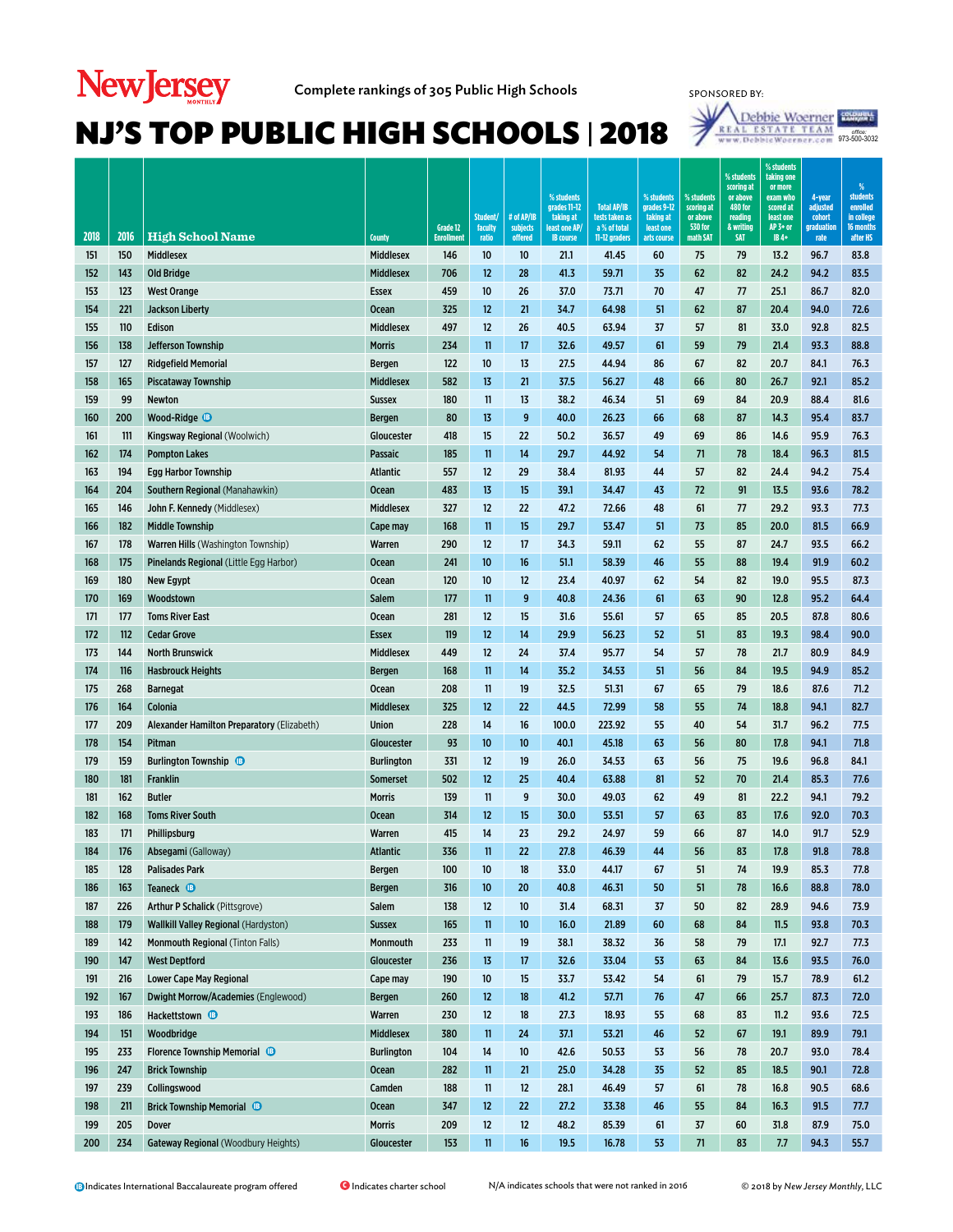# **New Jersey**



| 2018       | 2016       | <b>High School Name</b>                     | <b>County</b>          | Grade 12<br><b>Enrollmen</b> | Student/<br>faculty<br>ratio | # of AP/IB<br>subjects<br>offered | % students<br>grades 11-12<br>taking at<br>least one AP<br><b>IB</b> course | <b>Total AP/IB</b><br>tests taken as<br>a % of total<br>11-12 graders | % students<br>grades 9-12<br>taking at<br>least one<br>arts course | % students<br>scoring at<br>or above<br><b>530 for</b><br>math SAT | % students<br>scoring at<br>or above<br><b>480 for</b><br>reading<br>& writing<br><b>SAT</b> | % students<br>taking one<br>or more<br>exam who<br>scored at<br>least one<br>AP 3+ or<br>IB 4+ | 4-year<br>adjusted<br>cohort<br>graduation<br>rate | $\%$<br><b>students</b><br>enrolled<br>in college<br>16 months<br>after HS |
|------------|------------|---------------------------------------------|------------------------|------------------------------|------------------------------|-----------------------------------|-----------------------------------------------------------------------------|-----------------------------------------------------------------------|--------------------------------------------------------------------|--------------------------------------------------------------------|----------------------------------------------------------------------------------------------|------------------------------------------------------------------------------------------------|----------------------------------------------------|----------------------------------------------------------------------------|
| 151        | 150        | <b>Middlesex</b>                            | <b>Middlesex</b>       | 146                          | 10                           | 10                                | 21.1                                                                        | 41.45                                                                 | 60                                                                 | 75                                                                 | 79                                                                                           | 13.2                                                                                           | 96.7                                               | 83.8                                                                       |
| 152        | 143        | <b>Old Bridge</b>                           | <b>Middlesex</b>       | 706                          | 12                           | 28                                | 41.3                                                                        | 59.71                                                                 | 35                                                                 | 62                                                                 | 82                                                                                           | 24.2                                                                                           | 94.2                                               | 83.5                                                                       |
| 153        | 123        | <b>West Orange</b>                          | <b>Essex</b>           | 459                          | 10                           | 26                                | 37.0                                                                        | 73.71                                                                 | 70                                                                 | 47                                                                 | 77                                                                                           | 25.1                                                                                           | 86.7                                               | 82.0                                                                       |
| 154        | 221        | <b>Jackson Liberty</b>                      | <b>Ocean</b>           | 325                          | 12                           | 21                                | 34.7                                                                        | 64.98                                                                 | 51                                                                 | 62                                                                 | 87                                                                                           | 20.4                                                                                           | 94.0                                               | 72.6                                                                       |
| 155        | 110        | Edison                                      | <b>Middlesex</b>       | 497                          | 12                           | 26                                | 40.5                                                                        | 63.94                                                                 | 37                                                                 | 57                                                                 | 81                                                                                           | 33.0                                                                                           | 92.8                                               | 82.5                                                                       |
| 156        | 138        | Jefferson Township                          | <b>Morris</b>          | 234                          | 11                           | 17                                | 32.6                                                                        | 49.57                                                                 | 61                                                                 | 59                                                                 | 79                                                                                           | 21.4                                                                                           | 93.3                                               | 88.8                                                                       |
| 157        | 127        | <b>Ridgefield Memorial</b>                  | <b>Bergen</b>          | 122                          | 10                           | 13                                | 27.5                                                                        | 44.94                                                                 | 86                                                                 | 67                                                                 | 82                                                                                           | 20.7                                                                                           | 84.1                                               | 76.3                                                                       |
| 158        | 165        | <b>Piscataway Township</b>                  | <b>Middlesex</b>       | 582                          | 13                           | 21                                | 37.5                                                                        | 56.27                                                                 | 48                                                                 | 66                                                                 | 80                                                                                           | 26.7                                                                                           | 92.1                                               | 85.2                                                                       |
| 159        | 99         | Newton                                      | <b>Sussex</b>          | 180                          | 11                           | 13                                | 38.2                                                                        | 46.34                                                                 | 51                                                                 | 69                                                                 | 84                                                                                           | 20.9                                                                                           | 88.4                                               | 81.6                                                                       |
| 160        | 200        | Wood-Ridge <sup>1</sup>                     | <b>Bergen</b>          | 80                           | 13                           | 9                                 | 40.0                                                                        | 26.23                                                                 | 66                                                                 | 68                                                                 | 87                                                                                           | 14.3                                                                                           | 95.4                                               | 83.7                                                                       |
| 161        | 111        | Kingsway Regional (Woolwich)                | Gloucester             | 418                          | 15                           | 22                                | 50.2                                                                        | 36.57                                                                 | 49                                                                 | 69                                                                 | 86                                                                                           | 14.6                                                                                           | 95.9                                               | 76.3                                                                       |
| 162        | 174        | <b>Pompton Lakes</b>                        | Passaic                | 185                          | 11                           | 14                                | 29.7                                                                        | 44.92                                                                 | 54                                                                 | 71                                                                 | 78                                                                                           | 18.4                                                                                           | 96.3                                               | 81.5                                                                       |
| 163        | 194        | <b>Egg Harbor Township</b>                  | <b>Atlantic</b>        | 557                          | 12                           | 29                                | 38.4                                                                        | 81.93                                                                 | 44                                                                 | 57                                                                 | 82                                                                                           | 24.4                                                                                           | 94.2                                               | 75.4                                                                       |
| 164        | 204        | Southern Regional (Manahawkin)              | <b>Ocean</b>           | 483                          | 13                           | 15                                | 39.1                                                                        | 34.47                                                                 | 43                                                                 | 72                                                                 | 91                                                                                           | 13.5                                                                                           | 93.6                                               | 78.2                                                                       |
| 165        | 146        | John F. Kennedy (Middlesex)                 | Middlesex              | 327                          | 12                           | 22                                | 47.2                                                                        | 72.66                                                                 | 48                                                                 | 61                                                                 | 77                                                                                           | 29.2                                                                                           | 93.3                                               | 77.3                                                                       |
| 166        | 182        | <b>Middle Township</b>                      | Cape may               | 168                          | 11                           | 15                                | 29.7                                                                        | 53.47                                                                 | 51                                                                 | 73                                                                 | 85                                                                                           | 20.0                                                                                           | 81.5                                               | 66.9                                                                       |
| 167        | 178        | <b>Warren Hills (Washington Township)</b>   | Warren                 | 290                          | 12                           | 17                                | 34.3                                                                        | 59.11                                                                 | 62                                                                 | 55                                                                 | 87                                                                                           | 24.7                                                                                           | 93.5                                               | 66.2                                                                       |
| 168        | 175        | Pinelands Regional (Little Egg Harbor)      | <b>Ocean</b>           | 241                          | 10                           | 16                                | 51.1                                                                        | 58.39                                                                 | 46                                                                 | 55                                                                 | 88                                                                                           | 19.4                                                                                           | 91.9                                               | 60.2                                                                       |
| 169        | 180        | <b>New Egypt</b>                            | <b>Ocean</b>           | 120                          | 10                           | 12                                | 23.4                                                                        | 40.97                                                                 | 62                                                                 | 54                                                                 | 82                                                                                           | 19.0                                                                                           | 95.5                                               | 87.3                                                                       |
| 170        | 169        | Woodstown                                   | Salem                  | 177                          | 11                           | 9                                 | 40.8                                                                        | 24.36                                                                 | 61                                                                 | 63                                                                 | 90                                                                                           | 12.8                                                                                           | 95.2                                               | 64.4                                                                       |
| 171        | 177        | <b>Toms River East</b>                      | Ocean                  | 281                          | 12                           | 15                                | 31.6                                                                        | 55.61                                                                 | 57                                                                 | 65                                                                 | 85                                                                                           | 20.5                                                                                           | 87.8                                               | 80.6                                                                       |
| 172        | 112        | <b>Cedar Grove</b>                          | <b>Essex</b>           | 119                          | 12                           | 14                                | 29.9                                                                        | 56.23                                                                 | 52                                                                 | 51                                                                 | 83                                                                                           | 19.3                                                                                           | 98.4                                               | 90.0                                                                       |
| 173        | 144        | <b>North Brunswick</b>                      | <b>Middlesex</b>       | 449                          | 12                           | 24                                | 37.4                                                                        | 95.77                                                                 | 54                                                                 | 57                                                                 | 78                                                                                           | 21.7                                                                                           | 80.9                                               | 84.9                                                                       |
| 174        | 116        | <b>Hasbrouck Heights</b>                    | <b>Bergen</b>          | 168                          | 11                           | 14                                | 35.2                                                                        | 34.53                                                                 | 51                                                                 | 56                                                                 | 84                                                                                           | 19.5                                                                                           | 94.9                                               | 85.2                                                                       |
| 175        | 268        | <b>Barnegat</b>                             | Ocean                  | 208                          | 11                           | 19                                | 32.5                                                                        | 51.31                                                                 | 67                                                                 | 65                                                                 | 79                                                                                           | 18.6                                                                                           | 87.6                                               | 71.2                                                                       |
| 176        | 164        | Colonia                                     | <b>Middlesex</b>       | 325                          | 12                           | 22                                | 44.5                                                                        | 72.99                                                                 | 58                                                                 | 55                                                                 | 74                                                                                           | 18.8                                                                                           | 94.1                                               | 82.7                                                                       |
| 177        | 209        | Alexander Hamilton Preparatory (Elizabeth)  | Union                  | 228                          | 14                           | 16                                | 100.0                                                                       | 223.92                                                                | 55                                                                 | 40                                                                 | 54                                                                                           | 31.7                                                                                           | 96.2                                               | 77.5                                                                       |
| 178        | 154        | Pitman                                      | Gloucester             | 93                           | 10                           | 10                                | 40.1                                                                        | 45.18                                                                 | 63                                                                 | 56                                                                 | 80                                                                                           | 17.8                                                                                           | 94.1                                               | 71.8                                                                       |
| 179        | 159        | <b>Burlington Township B</b>                | <b>Burlington</b>      | 331                          | 12                           | 19                                | 26.0                                                                        | 34.53                                                                 | 63                                                                 | 56                                                                 | 75                                                                                           | 19.6                                                                                           | 96.8                                               | 84.1                                                                       |
| 180        | 181<br>162 | Franklin                                    | <b>Somerset</b>        | 502                          | 12                           | 25                                | 40.4                                                                        | 63.88                                                                 | 81                                                                 | 52                                                                 | 70                                                                                           | 21.4                                                                                           | 85.3                                               | 77.6<br>79.2                                                               |
| 181<br>182 | 168        | <b>Butler</b><br><b>Toms River South</b>    | <b>Morris</b>          | 139<br>314                   | 11<br>12                     | 9<br>15                           | 30.0<br>30.0                                                                | 49.03<br>53.51                                                        | 62<br>57                                                           | 49<br>63                                                           | 81<br>83                                                                                     | 22.2<br>17.6                                                                                   | 94.1<br>92.0                                       | 70.3                                                                       |
| 183        | 171        | Phillipsburg                                | <b>Ocean</b><br>Warren | 415                          | 14                           | 23                                | 29.2                                                                        | 24.97                                                                 | 59                                                                 | 66                                                                 | 87                                                                                           | 14.0                                                                                           | 91.7                                               | 52.9                                                                       |
| 184        | 176        | Absegami (Galloway)                         | <b>Atlantic</b>        | 336                          | 11                           | 22                                | 27.8                                                                        | 46.39                                                                 | 44                                                                 | 56                                                                 | 83                                                                                           | 17.8                                                                                           | 91.8                                               | 78.8                                                                       |
| 185        | 128        | <b>Palisades Park</b>                       | <b>Bergen</b>          | 100                          | 10                           | 18                                | 33.0                                                                        | 44.17                                                                 | 67                                                                 | 51                                                                 | 74                                                                                           | 19.9                                                                                           | 85.3                                               | 77.8                                                                       |
| 186        | 163        | Teaneck <sup>®</sup>                        | Bergen                 | 316                          | 10                           | 20                                | 40.8                                                                        | 46.31                                                                 | 50                                                                 | 51                                                                 | 78                                                                                           | 16.6                                                                                           | 88.8                                               | 78.0                                                                       |
| 187        | 226        | Arthur P Schalick (Pittsgrove)              | Salem                  | 138                          | 12                           | 10                                | 31.4                                                                        | 68.31                                                                 | 37                                                                 | 50                                                                 | 82                                                                                           | 28.9                                                                                           | 94.6                                               | 73.9                                                                       |
| 188        | 179        | <b>Wallkill Valley Regional (Hardyston)</b> | <b>Sussex</b>          | 165                          | $\mathbf{11}$                | 10                                | 16.0                                                                        | 21.89                                                                 | 60                                                                 | 68                                                                 | 84                                                                                           | 11.5                                                                                           | 93.8                                               | 70.3                                                                       |
| 189        | 142        | Monmouth Regional (Tinton Falls)            | Monmouth               | 233                          | 11                           | 19                                | 38.1                                                                        | 38.32                                                                 | 36                                                                 | 58                                                                 | 79                                                                                           | 17.1                                                                                           | 92.7                                               | 77.3                                                                       |
| 190        | 147        | <b>West Deptford</b>                        | Gloucester             | 236                          | 13                           | 17                                | 32.6                                                                        | 33.04                                                                 | 53                                                                 | 63                                                                 | 84                                                                                           | 13.6                                                                                           | 93.5                                               | 76.0                                                                       |
| 191        | 216        | <b>Lower Cape May Regional</b>              | Cape may               | 190                          | 10                           | 15                                | 33.7                                                                        | 53.42                                                                 | 54                                                                 | 61                                                                 | 79                                                                                           | 15.7                                                                                           | 78.9                                               | 61.2                                                                       |
| 192        | 167        | Dwight Morrow/Academies (Englewood)         | <b>Bergen</b>          | 260                          | 12                           | 18                                | 41.2                                                                        | 57.71                                                                 | 76                                                                 | 47                                                                 | 66                                                                                           | 25.7                                                                                           | 87.3                                               | 72.0                                                                       |
| 193        | 186        | Hackettstown <sup>®</sup>                   | Warren                 | 230                          | 12                           | 18                                | 27.3                                                                        | 18.93                                                                 | 55                                                                 | 68                                                                 | 83                                                                                           | 11.2                                                                                           | 93.6                                               | 72.5                                                                       |
| 194        | 151        | Woodbridge                                  | <b>Middlesex</b>       | 380                          | $\mathbf{11}$                | 24                                | 37.1                                                                        | 53.21                                                                 | 46                                                                 | 52                                                                 | 67                                                                                           | 19.1                                                                                           | 89.9                                               | 79.1                                                                       |
| 195        | 233        | <b>Florence Township Memorial ®</b>         | <b>Burlington</b>      | 104                          | 14                           | 10                                | 42.6                                                                        | 50.53                                                                 | 53                                                                 | 56                                                                 | 78                                                                                           | 20.7                                                                                           | 93.0                                               | 78.4                                                                       |
| 196        | 247        | <b>Brick Township</b>                       | <b>Ocean</b>           | 282                          | $\mathbf{11}$                | 21                                | 25.0                                                                        | 34.28                                                                 | 35                                                                 | 52                                                                 | 85                                                                                           | 18.5                                                                                           | 90.1                                               | 72.8                                                                       |
| 197        | 239        | Collingswood                                | Camden                 | 188                          | 11                           | 12                                | 28.1                                                                        | 46.49                                                                 | 57                                                                 | 61                                                                 | 78                                                                                           | 16.8                                                                                           | 90.5                                               | 68.6                                                                       |
| 198        | 211        | <b>Brick Township Memorial B</b>            | <b>Ocean</b>           | 347                          | 12                           | 22                                | 27.2                                                                        | 33.38                                                                 | 46                                                                 | 55                                                                 | 84                                                                                           | 16.3                                                                                           | 91.5                                               | 77.7                                                                       |
| 199        | 205        | <b>Dover</b>                                | <b>Morris</b>          | 209                          | 12                           | 12                                | 48.2                                                                        | 85.39                                                                 | 61                                                                 | 37                                                                 | 60                                                                                           | 31.8                                                                                           | 87.9                                               | 75.0                                                                       |
| 200        | 234        | Gateway Regional (Woodbury Heights)         | Gloucester             | 153                          | $\mathbf{11}$                | 16                                | 19.5                                                                        | 16.78                                                                 | 53                                                                 | 71                                                                 | 83                                                                                           | 7.7                                                                                            | 94.3                                               | 55.7                                                                       |
|            |            |                                             |                        |                              |                              |                                   |                                                                             |                                                                       |                                                                    |                                                                    |                                                                                              |                                                                                                |                                                    |                                                                            |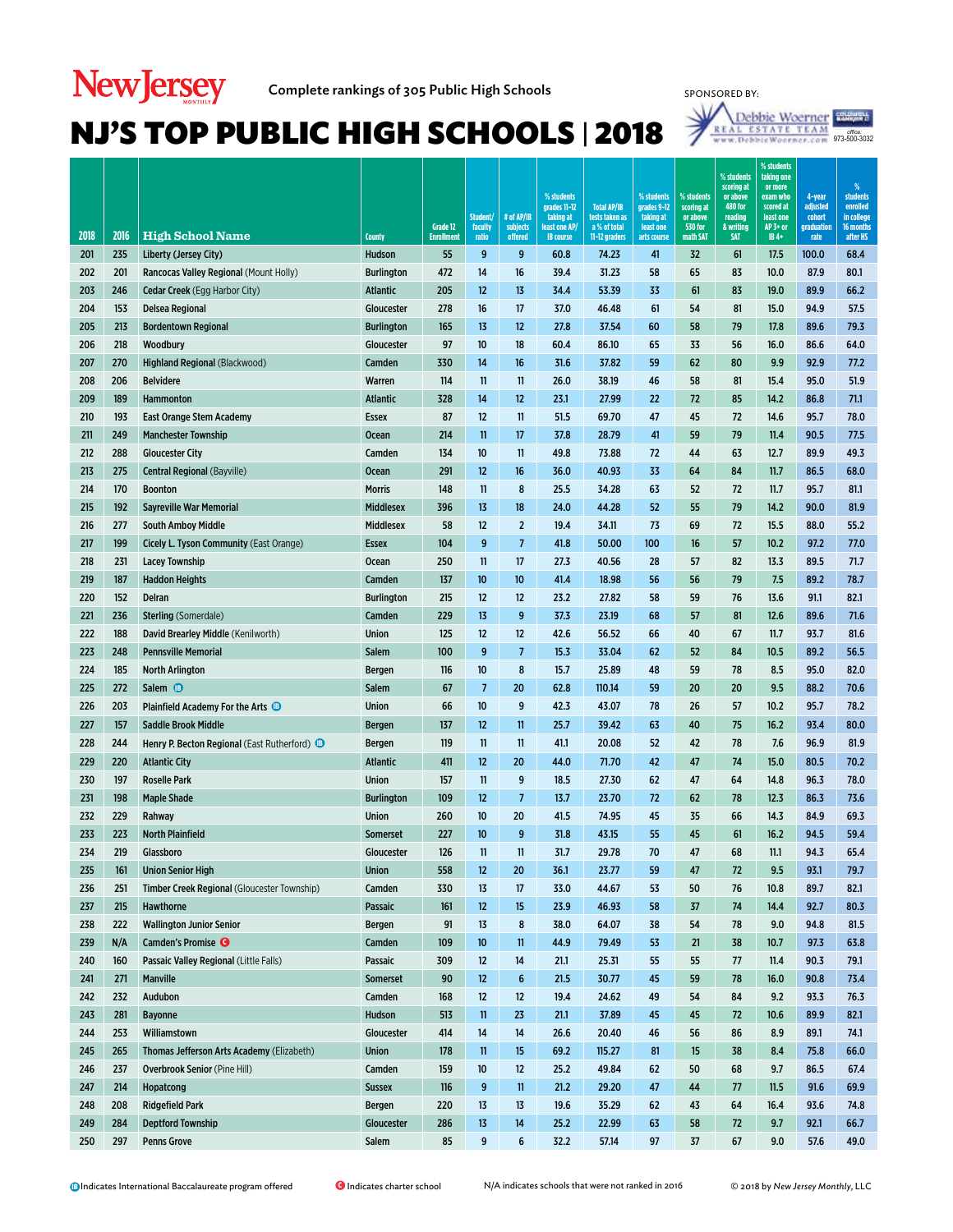

7

*office:*<br>973-500-3032

| 2018 | 2016 | <b>High School Name</b>                                 | County            | Grade 12<br><b>Enrollment</b> | Student/<br>faculty<br>ratio | # of AP/IB<br>subjects<br>offered | % students<br>grades 11-12<br>taking at<br>least one AP<br><b>IB</b> course | <b>Total AP/IB</b><br>tests taken as<br>a % of total<br>11-12 graders | % students<br>grades 9-12<br>taking at<br>least one<br>arts course | % students<br>scoring at<br>or above<br><b>530 for</b><br>math SAT | % students<br>scoring at<br>or above<br><b>480 for</b><br>reading<br>& writing<br><b>SAT</b> | % students<br>taking one<br>or more<br>exam who<br>scored at<br>least one<br>AP 3+ or<br>IB 4+ | 4-year<br>adjusted<br>cohort<br>graduation<br>rate | %<br>students<br>enrolled<br>in college<br>16 months<br>after HS |
|------|------|---------------------------------------------------------|-------------------|-------------------------------|------------------------------|-----------------------------------|-----------------------------------------------------------------------------|-----------------------------------------------------------------------|--------------------------------------------------------------------|--------------------------------------------------------------------|----------------------------------------------------------------------------------------------|------------------------------------------------------------------------------------------------|----------------------------------------------------|------------------------------------------------------------------|
| 201  | 235  | Liberty (Jersey City)                                   | Hudson            | 55                            | 9                            | 9                                 | 60.8                                                                        | 74.23                                                                 | 41                                                                 | 32                                                                 | 61                                                                                           | 17.5                                                                                           | 100.0                                              | 68.4                                                             |
| 202  | 201  | Rancocas Valley Regional (Mount Holly)                  | <b>Burlington</b> | 472                           | 14                           | 16                                | 39.4                                                                        | 31.23                                                                 | 58                                                                 | 65                                                                 | 83                                                                                           | 10.0                                                                                           | 87.9                                               | 80.1                                                             |
| 203  | 246  | <b>Cedar Creek</b> (Egg Harbor City)                    | <b>Atlantic</b>   | 205                           | 12                           | 13                                | 34.4                                                                        | 53.39                                                                 | 33                                                                 | 61                                                                 | 83                                                                                           | 19.0                                                                                           | 89.9                                               | 66.2                                                             |
| 204  | 153  | Delsea Regional                                         | Gloucester        | 278                           | 16                           | 17                                | 37.0                                                                        | 46.48                                                                 | 61                                                                 | 54                                                                 | 81                                                                                           | 15.0                                                                                           | 94.9                                               | 57.5                                                             |
| 205  | 213  | <b>Bordentown Regional</b>                              | <b>Burlington</b> | 165                           | 13                           | 12                                | 27.8                                                                        | 37.54                                                                 | 60                                                                 | 58                                                                 | 79                                                                                           | 17.8                                                                                           | 89.6                                               | 79.3                                                             |
| 206  | 218  | Woodbury                                                | Gloucester        | 97                            | 10                           | 18                                | 60.4                                                                        | 86.10                                                                 | 65                                                                 | 33                                                                 | 56                                                                                           | 16.0                                                                                           | 86.6                                               | 64.0                                                             |
| 207  | 270  | Highland Regional (Blackwood)                           | Camden            | 330                           | 14                           | 16                                | 31.6                                                                        | 37.82                                                                 | 59                                                                 | 62                                                                 | 80                                                                                           | 9.9                                                                                            | 92.9                                               | 77.2                                                             |
| 208  | 206  | <b>Belvidere</b>                                        | Warren            | 114                           | 11                           | 11                                | 26.0                                                                        | 38.19                                                                 | 46                                                                 | 58                                                                 | 81                                                                                           | 15.4                                                                                           | 95.0                                               | 51.9                                                             |
| 209  | 189  | <b>Hammonton</b>                                        | <b>Atlantic</b>   | 328                           | 14                           | 12                                | 23.1                                                                        | 27.99                                                                 | 22                                                                 | 72                                                                 | 85                                                                                           | 14.2                                                                                           | 86.8                                               | 71.1                                                             |
| 210  | 193  | <b>East Orange Stem Academy</b>                         | <b>Essex</b>      | 87                            | 12                           | 11                                | 51.5                                                                        | 69.70                                                                 | 47                                                                 | 45                                                                 | 72                                                                                           | 14.6                                                                                           | 95.7                                               | 78.0                                                             |
| 211  | 249  | <b>Manchester Township</b>                              | <b>Ocean</b>      | 214                           | 11                           | 17                                | 37.8                                                                        | 28.79                                                                 | 41                                                                 | 59                                                                 | 79                                                                                           | 11.4                                                                                           | 90.5                                               | 77.5                                                             |
| 212  | 288  | <b>Gloucester City</b>                                  | Camden            | 134                           | 10                           | 11                                | 49.8                                                                        | 73.88                                                                 | 72                                                                 | 44                                                                 | 63                                                                                           | 12.7                                                                                           | 89.9                                               | 49.3                                                             |
| 213  | 275  | Central Regional (Bayville)                             | <b>Ocean</b>      | 291                           | 12                           | 16                                | 36.0                                                                        | 40.93                                                                 | 33                                                                 | 64                                                                 | 84                                                                                           | 11.7                                                                                           | 86.5                                               | 68.0                                                             |
| 214  | 170  | <b>Boonton</b>                                          | <b>Morris</b>     | 148                           | 11                           | 8                                 | 25.5                                                                        | 34.28                                                                 | 63                                                                 | 52                                                                 | 72                                                                                           | 11.7                                                                                           | 95.7                                               | 81.1                                                             |
| 215  | 192  | <b>Savreville War Memorial</b>                          | <b>Middlesex</b>  | 396                           | 13                           | 18                                | 24.0                                                                        | 44.28                                                                 | 52                                                                 | 55                                                                 | 79                                                                                           | 14.2                                                                                           | 90.0                                               | 81.9                                                             |
| 216  | 277  | <b>South Amboy Middle</b>                               | <b>Middlesex</b>  | 58                            | 12                           | $\overline{2}$                    | 19.4                                                                        | 34.11                                                                 | 73                                                                 | 69                                                                 | 72                                                                                           | 15.5                                                                                           | 88.0                                               | 55.2                                                             |
| 217  | 199  | Cicely L. Tyson Community (East Orange)                 | <b>Essex</b>      | 104                           | 9                            | $\overline{7}$                    | 41.8                                                                        | 50.00                                                                 | 100                                                                | 16                                                                 | 57                                                                                           | 10.2                                                                                           | 97.2                                               | 77.0                                                             |
| 218  | 231  | Lacey Township                                          | <b>Ocean</b>      | 250                           | 11                           | 17                                | 27.3                                                                        | 40.56                                                                 | 28                                                                 | 57                                                                 | 82                                                                                           | 13.3                                                                                           | 89.5                                               | 71.7                                                             |
| 219  | 187  | <b>Haddon Heights</b>                                   | Camden            | 137                           | 10                           | 10                                | 41.4                                                                        | 18.98                                                                 | 56                                                                 | 56                                                                 | 79                                                                                           | 7.5                                                                                            | 89.2                                               | 78.7                                                             |
| 220  | 152  | Delran                                                  | <b>Burlington</b> | 215                           | 12                           | 12                                | 23.2                                                                        | 27.82                                                                 | 58                                                                 | 59                                                                 | 76                                                                                           | 13.6                                                                                           | 91.1                                               | 82.1                                                             |
| 221  | 236  | <b>Sterling</b> (Somerdale)                             | Camden            | 229                           | 13                           | 9                                 | 37.3                                                                        | 23.19                                                                 | 68                                                                 | 57                                                                 | 81                                                                                           | 12.6                                                                                           | 89.6                                               | 71.6                                                             |
| 222  | 188  | David Brearley Middle (Kenilworth)                      | <b>Union</b>      | 125                           | 12                           | 12                                | 42.6                                                                        | 56.52                                                                 | 66                                                                 | 40                                                                 | 67                                                                                           | 11.7                                                                                           | 93.7                                               | 81.6                                                             |
| 223  | 248  | <b>Pennsville Memorial</b>                              | <b>Salem</b>      | 100                           | 9                            | $\overline{7}$                    | 15.3                                                                        | 33.04                                                                 | 62                                                                 | 52                                                                 | 84                                                                                           | 10.5                                                                                           | 89.2                                               | 56.5                                                             |
| 224  | 185  | <b>North Arlington</b>                                  | <b>Bergen</b>     | 116                           | 10                           | 8                                 | 15.7                                                                        | 25.89                                                                 | 48                                                                 | 59                                                                 | 78                                                                                           | 8.5                                                                                            | 95.0                                               | 82.0                                                             |
| 225  | 272  | Salem <sup>®</sup>                                      | Salem             | 67                            | $\overline{7}$               | 20                                | 62.8                                                                        | 110.14                                                                | 59                                                                 | 20                                                                 | 20                                                                                           | 9.5                                                                                            | 88.2                                               | 70.6                                                             |
| 226  | 203  | Plainfield Academy For the Arts                         | Union             | 66                            | 10                           | 9                                 | 42.3                                                                        | 43.07                                                                 | 78                                                                 | 26                                                                 | 57                                                                                           | 10.2                                                                                           | 95.7                                               | 78.2                                                             |
| 227  | 157  | <b>Saddle Brook Middle</b>                              | <b>Bergen</b>     | 137                           | 12                           | 11                                | 25.7                                                                        | 39.42                                                                 | 63                                                                 | 40                                                                 | 75                                                                                           | 16.2                                                                                           | 93.4                                               | 80.0                                                             |
| 228  | 244  | Henry P. Becton Regional (East Rutherford) <sup>1</sup> | <b>Bergen</b>     | 119                           | 11                           | 11                                | 41.1                                                                        | 20.08                                                                 | 52                                                                 | 42                                                                 | 78                                                                                           | 7.6                                                                                            | 96.9                                               | 81.9                                                             |
| 229  | 220  | <b>Atlantic City</b>                                    | <b>Atlantic</b>   | 411                           | 12                           | 20                                | 44.0                                                                        | 71.70                                                                 | 42                                                                 | 47                                                                 | 74                                                                                           | 15.0                                                                                           | 80.5                                               | 70.2                                                             |
| 230  | 197  | <b>Roselle Park</b>                                     | Union             | 157                           | 11                           | 9                                 | 18.5                                                                        | 27.30                                                                 | 62                                                                 | 47                                                                 | 64                                                                                           | 14.8                                                                                           | 96.3                                               | 78.0                                                             |
| 231  | 198  | <b>Maple Shade</b>                                      | <b>Burlington</b> | 109                           | 12                           | $\overline{7}$                    | 13.7                                                                        | 23.70                                                                 | 72                                                                 | 62                                                                 | 78                                                                                           | 12.3                                                                                           | 86.3                                               | 73.6                                                             |
| 232  | 229  | Rahway                                                  | Union             | 260                           | 10                           | 20                                | 41.5                                                                        | 74.95                                                                 | 45                                                                 | 35                                                                 | 66                                                                                           | 14.3                                                                                           | 84.9                                               | 69.3                                                             |
| 233  | 223  | <b>North Plainfield</b>                                 | <b>Somerset</b>   | 227                           | 10                           | 9                                 | 31.8                                                                        | 43.15                                                                 | 55                                                                 | 45                                                                 | 61                                                                                           | 16.2                                                                                           | 94.5                                               | 59.4                                                             |
| 234  | 219  | Glassboro                                               | Gloucester        | 126                           | 11                           | 11                                | 31.7                                                                        | 29.78                                                                 | 70                                                                 | 47                                                                 | 68                                                                                           | 11.1                                                                                           | 94.3                                               | 65.4                                                             |
| 235  | 161  | <b>Union Senior High</b>                                | <b>Union</b>      | 558                           | 12                           | 20                                | 36.1                                                                        | 23.77                                                                 | 59                                                                 | 47                                                                 | 72                                                                                           | 9.5                                                                                            | 93.1                                               | 79.7                                                             |
| 236  | 251  | Timber Creek Regional (Gloucester Township)             | Camden            | 330                           | 13                           | 17                                | 33.0                                                                        | 44.67                                                                 | 53                                                                 | 50                                                                 | 76                                                                                           | 10.8                                                                                           | 89.7                                               | 82.1                                                             |
| 237  | 215  | <b>Hawthorne</b>                                        | Passaic           | 161                           | 12                           | 15                                | 23.9                                                                        | 46.93                                                                 | 58                                                                 | 37                                                                 | 74                                                                                           | 14.4                                                                                           | 92.7                                               | 80.3                                                             |
| 238  | 222  | <b>Wallington Junior Senior</b>                         | Bergen            | 91                            | 13                           | 8                                 | 38.0                                                                        | 64.07                                                                 | 38                                                                 | 54                                                                 | 78                                                                                           | 9.0                                                                                            | 94.8                                               | 81.5                                                             |
| 239  | N/A  | Camden's Promise <sup>O</sup>                           | Camden            | 109                           | 10                           | $\mathbf{11}$                     | 44.9                                                                        | 79.49                                                                 | 53                                                                 | 21                                                                 | 38                                                                                           | 10.7                                                                                           | 97.3                                               | 63.8                                                             |
| 240  | 160  | Passaic Valley Regional (Little Falls)                  | Passaic           | 309                           | $12 \overline{ }$            | 14                                | 21.1                                                                        | 25.31                                                                 | 55                                                                 | 55                                                                 | 77                                                                                           | 11.4                                                                                           | 90.3                                               | 79.1                                                             |
| 241  | 271  | <b>Manville</b>                                         | <b>Somerset</b>   | 90                            | 12                           | 6                                 | 21.5                                                                        | 30.77                                                                 | 45                                                                 | 59                                                                 | 78                                                                                           | 16.0                                                                                           | 90.8                                               | 73.4                                                             |
| 242  | 232  | Audubon                                                 | Camden            | 168                           | 12                           | $12 \overline{ }$                 | 19.4                                                                        | 24.62                                                                 | 49                                                                 | 54                                                                 | 84                                                                                           | 9.2                                                                                            | 93.3                                               | 76.3                                                             |
| 243  | 281  | <b>Bayonne</b>                                          | Hudson            | 513                           | $\mathbf{11}$                | 23                                | 21.1                                                                        | 37.89                                                                 | 45                                                                 | 45                                                                 | 72                                                                                           | 10.6                                                                                           | 89.9                                               | 82.1                                                             |
| 244  | 253  | Williamstown                                            | Gloucester        | 414                           | 14                           | 14                                | 26.6                                                                        | 20.40                                                                 | 46                                                                 | 56                                                                 | 86                                                                                           | 8.9                                                                                            | 89.1                                               | 74.1                                                             |
| 245  | 265  | Thomas Jefferson Arts Academy (Elizabeth)               | <b>Union</b>      | 178                           | $\mathbf{11}$                | 15                                | 69.2                                                                        | 115.27                                                                | 81                                                                 | 15                                                                 | 38                                                                                           | 8.4                                                                                            | 75.8                                               | 66.0                                                             |
| 246  | 237  | <b>Overbrook Senior (Pine Hill)</b>                     | Camden            | 159                           | 10                           | $12 \overline{ }$                 | 25.2                                                                        | 49.84                                                                 | 62                                                                 | 50                                                                 | 68                                                                                           | 9.7                                                                                            | 86.5                                               | 67.4                                                             |
| 247  | 214  | Hopatcong                                               | <b>Sussex</b>     | 116                           | 9                            | $\mathbf{11}$                     | 21.2                                                                        | 29.20                                                                 | 47                                                                 | 44                                                                 | 77                                                                                           | 11.5                                                                                           | 91.6                                               | 69.9                                                             |
| 248  | 208  | <b>Ridgefield Park</b>                                  | <b>Bergen</b>     | 220                           | 13                           | 13                                | 19.6                                                                        | 35.29                                                                 | 62                                                                 | 43                                                                 | 64                                                                                           | 16.4                                                                                           | 93.6                                               | 74.8                                                             |
| 249  | 284  | <b>Deptford Township</b>                                | Gloucester        | 286                           | 13                           | 14                                | 25.2                                                                        | 22.99                                                                 | 63                                                                 | 58                                                                 | 72                                                                                           | 9.7                                                                                            | 92.1                                               | 66.7                                                             |
| 250  | 297  | <b>Penns Grove</b>                                      | Salem             | 85                            | 9                            | 6                                 | 32.2                                                                        | 57.14                                                                 | 97                                                                 | 37                                                                 | 67                                                                                           | 9.0                                                                                            | 57.6                                               | 49.0                                                             |
|      |      |                                                         |                   |                               |                              |                                   |                                                                             |                                                                       |                                                                    |                                                                    |                                                                                              |                                                                                                |                                                    |                                                                  |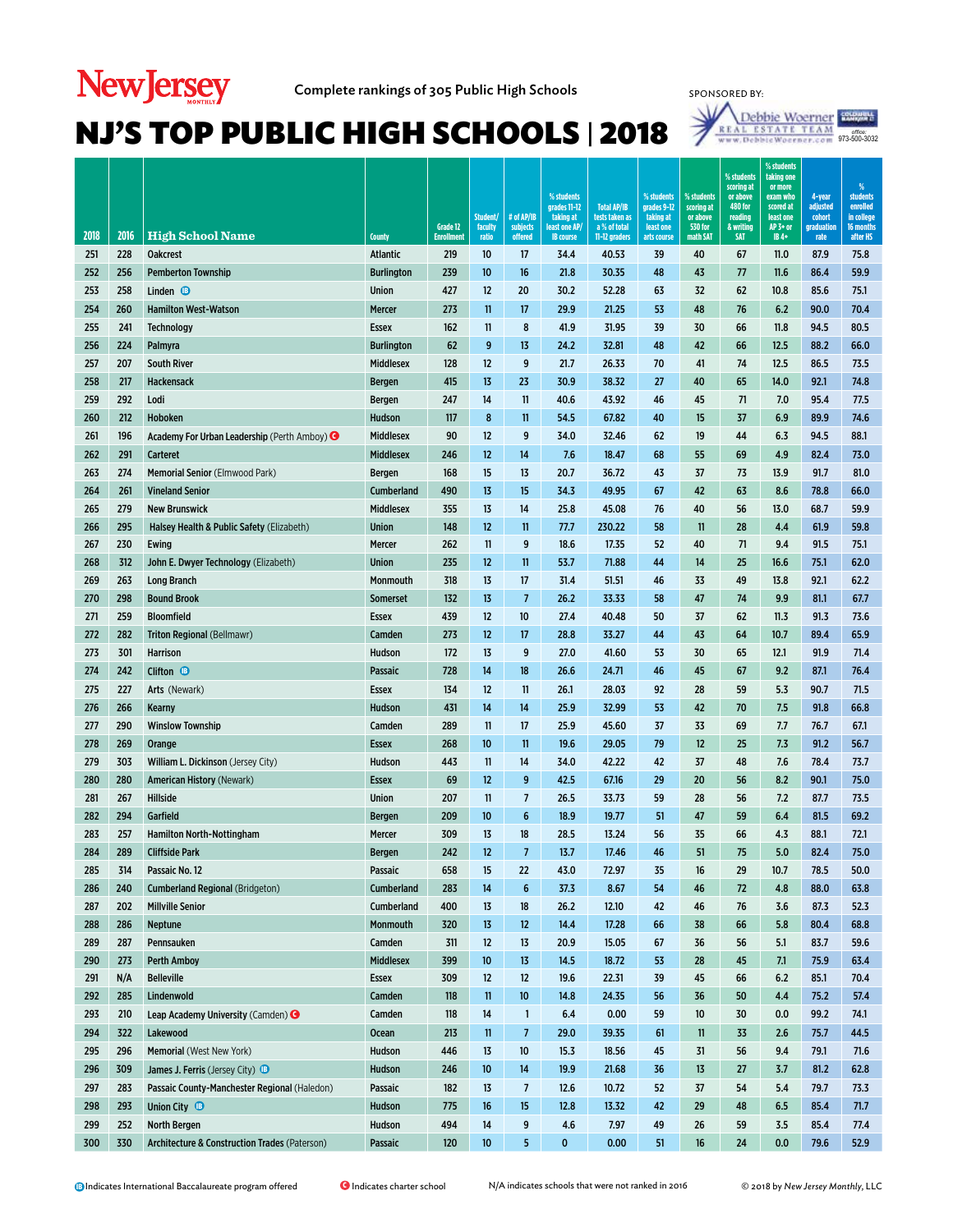# **New Jersey**



| 2018 | 2016 | <b>High School Name</b>                                 | <b>County</b>     | Grade 12<br><b>Enrollmen</b> | Student/<br>faculty<br>ratio | # of AP/IB<br>subjects<br>offered | % students<br>grades 11-12<br>taking at<br>least one AP<br><b>IB</b> course | <b>Total AP/IB</b><br>tests taken as<br>a % of total<br>11-12 graders | % students<br>grades 9-12<br>taking at<br>least one<br>arts course | % students<br>scoring at<br>or above<br><b>530 for</b><br>math SAT | % students<br>scoring at<br>or above<br><b>480 for</b><br>reading<br>& writing<br><b>SAT</b> | % students<br>taking one<br>or more<br>exam who<br>scored at<br>least one<br>AP 3+ or<br>IB 4+ | 4-year<br>adjusted<br>cohort<br>graduation<br>rate | %<br><b>students</b><br>enrolled<br>in college<br>16 months<br>after HS |
|------|------|---------------------------------------------------------|-------------------|------------------------------|------------------------------|-----------------------------------|-----------------------------------------------------------------------------|-----------------------------------------------------------------------|--------------------------------------------------------------------|--------------------------------------------------------------------|----------------------------------------------------------------------------------------------|------------------------------------------------------------------------------------------------|----------------------------------------------------|-------------------------------------------------------------------------|
| 251  | 228  | <b>Oakcrest</b>                                         | <b>Atlantic</b>   | 219                          | 10                           | 17                                | 34.4                                                                        | 40.53                                                                 | 39                                                                 | 40                                                                 | 67                                                                                           | 11.0                                                                                           | 87.9                                               | 75.8                                                                    |
| 252  | 256  | <b>Pemberton Township</b>                               | <b>Burlington</b> | 239                          | 10                           | 16                                | 21.8                                                                        | 30.35                                                                 | 48                                                                 | 43                                                                 | 77                                                                                           | 11.6                                                                                           | 86.4                                               | 59.9                                                                    |
| 253  | 258  | Linden $\bullet$                                        | <b>Union</b>      | 427                          | 12                           | 20                                | 30.2                                                                        | 52.28                                                                 | 63                                                                 | 32                                                                 | 62                                                                                           | 10.8                                                                                           | 85.6                                               | 75.1                                                                    |
| 254  | 260  | <b>Hamilton West-Watson</b>                             | Mercer            | 273                          | 11                           | 17                                | 29.9                                                                        | 21.25                                                                 | 53                                                                 | 48                                                                 | 76                                                                                           | 6.2                                                                                            | 90.0                                               | 70.4                                                                    |
| 255  | 241  | <b>Technology</b>                                       | <b>Essex</b>      | 162                          | 11                           | 8                                 | 41.9                                                                        | 31.95                                                                 | 39                                                                 | 30                                                                 | 66                                                                                           | 11.8                                                                                           | 94.5                                               | 80.5                                                                    |
| 256  | 224  | Palmyra                                                 | <b>Burlington</b> | 62                           | 9                            | 13                                | 24.2                                                                        | 32.81                                                                 | 48                                                                 | 42                                                                 | 66                                                                                           | 12.5                                                                                           | 88.2                                               | 66.0                                                                    |
| 257  | 207  | <b>South River</b>                                      | <b>Middlesex</b>  | 128                          | 12                           | 9                                 | 21.7                                                                        | 26.33                                                                 | 70                                                                 | 41                                                                 | 74                                                                                           | 12.5                                                                                           | 86.5                                               | 73.5                                                                    |
| 258  | 217  | Hackensack                                              | <b>Bergen</b>     | 415                          | 13                           | 23                                | 30.9                                                                        | 38.32                                                                 | 27                                                                 | 40                                                                 | 65                                                                                           | 14.0                                                                                           | 92.1                                               | 74.8                                                                    |
| 259  | 292  | Lodi                                                    | <b>Bergen</b>     | 247                          | 14                           | 11                                | 40.6                                                                        | 43.92                                                                 | 46                                                                 | 45                                                                 | 71                                                                                           | 7.0                                                                                            | 95.4                                               | 77.5                                                                    |
| 260  | 212  | Hoboken                                                 | Hudson            | 117                          | 8                            | 11                                | 54.5                                                                        | 67.82                                                                 | 40                                                                 | 15                                                                 | 37                                                                                           | 6.9                                                                                            | 89.9                                               | 74.6                                                                    |
| 261  | 196  | Academy For Urban Leadership (Perth Amboy) <sup>O</sup> | <b>Middlesex</b>  | 90                           | 12                           | 9                                 | 34.0                                                                        | 32.46                                                                 | 62                                                                 | 19                                                                 | 44                                                                                           | 6.3                                                                                            | 94.5                                               | 88.1                                                                    |
| 262  | 291  | <b>Carteret</b>                                         | <b>Middlesex</b>  | 246                          | 12                           | 14                                | 7.6                                                                         | 18.47                                                                 | 68                                                                 | 55                                                                 | 69                                                                                           | 4.9                                                                                            | 82.4                                               | 73.0                                                                    |
| 263  | 274  | <b>Memorial Senior (Elmwood Park)</b>                   | <b>Bergen</b>     | 168                          | 15                           | 13                                | 20.7                                                                        | 36.72                                                                 | 43                                                                 | 37                                                                 | 73                                                                                           | 13.9                                                                                           | 91.7                                               | 81.0                                                                    |
| 264  | 261  | <b>Vineland Senior</b>                                  | Cumberland        | 490                          | 13                           | 15                                | 34.3                                                                        | 49.95                                                                 | 67                                                                 | 42                                                                 | 63                                                                                           | 8.6                                                                                            | 78.8                                               | 66.0                                                                    |
| 265  | 279  | <b>New Brunswick</b>                                    | <b>Middlesex</b>  | 355                          | 13                           | 14                                | 25.8                                                                        | 45.08                                                                 | 76                                                                 | 40                                                                 | 56                                                                                           | 13.0                                                                                           | 68.7                                               | 59.9                                                                    |
| 266  | 295  | Halsey Health & Public Safety (Elizabeth)               | <b>Union</b>      | 148                          | 12                           | 11                                | 77.7                                                                        | 230.22                                                                | 58                                                                 | 11                                                                 | 28                                                                                           | 4.4                                                                                            | 61.9                                               | 59.8                                                                    |
| 267  | 230  | Ewing                                                   | Mercer            | 262                          | 11                           | 9                                 | 18.6                                                                        | 17.35                                                                 | 52                                                                 | 40                                                                 | 71                                                                                           | 9.4                                                                                            | 91.5                                               | 75.1                                                                    |
| 268  | 312  | John E. Dwyer Technology (Elizabeth)                    | <b>Union</b>      | 235                          | 12                           | 11                                | 53.7                                                                        | 71.88                                                                 | 44                                                                 | 14                                                                 | 25                                                                                           | 16.6                                                                                           | 75.1                                               | 62.0                                                                    |
| 269  | 263  | <b>Long Branch</b>                                      | Monmouth          | 318                          | 13                           | 17                                | 31.4                                                                        | 51.51                                                                 | 46                                                                 | 33                                                                 | 49                                                                                           | 13.8                                                                                           | 92.1                                               | 62.2                                                                    |
| 270  | 298  | <b>Bound Brook</b>                                      | <b>Somerset</b>   | 132                          | 13                           | $\overline{\phantom{a}}$          | 26.2                                                                        | 33.33                                                                 | 58                                                                 | 47                                                                 | 74                                                                                           | 9.9                                                                                            | 81.1                                               | 67.7                                                                    |
| 271  | 259  | <b>Bloomfield</b>                                       | <b>Essex</b>      | 439                          | 12                           | 10                                | 27.4                                                                        | 40.48                                                                 | 50                                                                 | 37                                                                 | 62                                                                                           | 11.3                                                                                           | 91.3                                               | 73.6                                                                    |
| 272  | 282  | Triton Regional (Bellmawr)                              | Camden            | 273                          | 12                           | 17                                | 28.8                                                                        | 33.27                                                                 | 44                                                                 | 43                                                                 | 64                                                                                           | 10.7                                                                                           | 89.4                                               | 65.9                                                                    |
| 273  | 301  | <b>Harrison</b>                                         | Hudson            | 172                          | 13                           | 9                                 | 27.0                                                                        | 41.60                                                                 | 53                                                                 | 30                                                                 | 65                                                                                           | 12.1                                                                                           | 91.9                                               | 71.4                                                                    |
| 274  | 242  | Clifton $\bullet$                                       | Passaic           | 728                          | 14                           | 18                                | 26.6                                                                        | 24.71                                                                 | 46                                                                 | 45                                                                 | 67                                                                                           | 9.2                                                                                            | 87.1                                               | 76.4                                                                    |
| 275  | 227  | Arts (Newark)                                           | <b>Essex</b>      | 134                          | 12                           | 11                                | 26.1                                                                        | 28.03                                                                 | 92                                                                 | 28                                                                 | 59                                                                                           | 5.3                                                                                            | 90.7                                               | 71.5                                                                    |
| 276  | 266  | Kearny                                                  | Hudson            | 431                          | 14                           | 14                                | 25.9                                                                        | 32.99                                                                 | 53                                                                 | 42                                                                 | 70                                                                                           | 7.5                                                                                            | 91.8                                               | 66.8                                                                    |
| 277  | 290  | <b>Winslow Township</b>                                 | Camden            | 289                          | 11                           | 17                                | 25.9                                                                        | 45.60                                                                 | 37                                                                 | 33                                                                 | 69                                                                                           | 7.7                                                                                            | 76.7                                               | 67.1                                                                    |
| 278  | 269  | Orange                                                  | <b>Essex</b>      | 268                          | 10                           | 11                                | 19.6                                                                        | 29.05                                                                 | 79                                                                 | 12                                                                 | 25                                                                                           | 7.3                                                                                            | 91.2                                               | 56.7                                                                    |
| 279  | 303  | William L. Dickinson (Jersey City)                      | Hudson            | 443                          | 11                           | 14                                | 34.0                                                                        | 42.22                                                                 | 42                                                                 | 37                                                                 | 48                                                                                           | 7.6                                                                                            | 78.4                                               | 73.7                                                                    |
| 280  | 280  | <b>American History (Newark)</b>                        | <b>Essex</b>      | 69                           | 12                           | 9                                 | 42.5                                                                        | 67.16                                                                 | 29                                                                 | 20                                                                 | 56                                                                                           | 8.2                                                                                            | 90.1                                               | 75.0                                                                    |
| 281  | 267  | Hillside                                                | <b>Union</b>      | 207                          | 11                           | 7                                 | 26.5                                                                        | 33.73                                                                 | 59                                                                 | 28                                                                 | 56                                                                                           | 7.2                                                                                            | 87.7                                               | 73.5                                                                    |
| 282  | 294  | Garfield                                                | <b>Bergen</b>     | 209                          | 10                           | 6                                 | 18.9                                                                        | 19.77                                                                 | 51                                                                 | 47                                                                 | 59                                                                                           | 6.4                                                                                            | 81.5                                               | 69.2                                                                    |
| 283  | 257  | <b>Hamilton North-Nottingham</b>                        | Mercer            | 309                          | 13                           | 18                                | 28.5                                                                        | 13.24                                                                 | 56                                                                 | 35                                                                 | 66                                                                                           | 4.3                                                                                            | 88.1                                               | 72.1                                                                    |
| 284  | 289  | <b>Cliffside Park</b>                                   | <b>Bergen</b>     | 242                          | 12                           | $\overline{7}$                    | 13.7                                                                        | 17.46                                                                 | 46                                                                 | 51                                                                 | 75                                                                                           | 5.0                                                                                            | 82.4                                               | 75.0                                                                    |
| 285  | 314  | Passaic No. 12                                          | Passaic           | 658                          | 15                           | 22                                | 43.0                                                                        | 72.97                                                                 | 35                                                                 | 16                                                                 | 29                                                                                           | 10.7                                                                                           | 78.5                                               | 50.0                                                                    |
| 286  | 240  | <b>Cumberland Regional (Bridgeton)</b>                  | <b>Cumberland</b> | 283                          | 14                           | 6                                 | 37.3                                                                        | 8.67                                                                  | 54                                                                 | 46                                                                 | 72                                                                                           | 4.8                                                                                            | 88.0                                               | 63.8                                                                    |
| 287  | 202  | <b>Millville Senior</b>                                 | Cumberland        | 400                          | 13                           | 18                                | 26.2                                                                        | 12.10                                                                 | 42                                                                 | 46                                                                 | 76                                                                                           | 3.6                                                                                            | 87.3                                               | 52.3                                                                    |
| 288  | 286  | <b>Neptune</b>                                          | Monmouth          | 320                          | 13                           | 12                                | 14.4                                                                        | 17.28                                                                 | 66                                                                 | 38                                                                 | 66                                                                                           | 5.8                                                                                            | 80.4                                               | 68.8                                                                    |
| 289  | 287  | Pennsauken                                              | Camden            | 311                          | 12                           | 13                                | 20.9                                                                        | 15.05                                                                 | 67                                                                 | 36                                                                 | 56                                                                                           | 5.1                                                                                            | 83.7                                               | 59.6                                                                    |
| 290  | 273  | <b>Perth Amboy</b>                                      | <b>Middlesex</b>  | 399                          | 10                           | 13                                | 14.5                                                                        | 18.72                                                                 | 53                                                                 | 28                                                                 | 45                                                                                           | 7.1                                                                                            | 75.9                                               | 63.4                                                                    |
| 291  | N/A  | <b>Belleville</b>                                       | <b>Essex</b>      | 309                          | 12                           | 12                                | 19.6                                                                        | 22.31                                                                 | 39                                                                 | 45                                                                 | 66                                                                                           | 6.2                                                                                            | 85.1                                               | 70.4                                                                    |
| 292  | 285  | Lindenwold                                              | Camden            | 118                          | 11                           | 10                                | 14.8                                                                        | 24.35                                                                 | 56                                                                 | 36                                                                 | 50                                                                                           | 4.4                                                                                            | 75.2                                               | 57.4                                                                    |
| 293  | 210  | Leap Academy University (Camden) <sup>O</sup>           | Camden            | 118                          | 14                           | 1                                 | 6.4                                                                         | 0.00                                                                  | 59                                                                 | 10                                                                 | 30                                                                                           | 0.0                                                                                            | 99.2                                               | 74.1                                                                    |
| 294  | 322  | Lakewood                                                | <b>Ocean</b>      | 213                          | 11                           | 7                                 | 29.0                                                                        | 39.35                                                                 | 61                                                                 | $\mathbf{11}$                                                      | 33                                                                                           | 2.6                                                                                            | 75.7                                               | 44.5                                                                    |
| 295  | 296  | Memorial (West New York)                                | Hudson            | 446                          | 13                           | 10                                | 15.3                                                                        | 18.56                                                                 | 45                                                                 | 31                                                                 | 56                                                                                           | 9.4                                                                                            | 79.1                                               | 71.6                                                                    |
| 296  | 309  | James J. Ferris (Jersey City) <sup>B</sup>              | Hudson            | 246                          | 10                           | 14                                | 19.9                                                                        | 21.68                                                                 | 36                                                                 | 13                                                                 | 27                                                                                           | 3.7                                                                                            | 81.2                                               | 62.8                                                                    |
| 297  | 283  | Passaic County-Manchester Regional (Haledon)            | Passaic           | 182                          | 13                           | 7                                 | 12.6                                                                        | 10.72                                                                 | 52                                                                 | 37                                                                 | 54                                                                                           | 5.4                                                                                            | 79.7                                               | 73.3                                                                    |
| 298  | 293  | Union City <sup>®</sup>                                 | Hudson            | 775                          | 16                           | 15                                | 12.8                                                                        | 13.32                                                                 | 42                                                                 | 29                                                                 | 48                                                                                           | 6.5                                                                                            | 85.4                                               | 71.7                                                                    |
| 299  | 252  | <b>North Bergen</b>                                     | Hudson            | 494                          | 14                           | 9                                 | 4.6                                                                         | 7.97                                                                  | 49                                                                 | 26                                                                 | 59                                                                                           | 3.5                                                                                            | 85.4                                               | 77.4                                                                    |
| 300  | 330  | Architecture & Construction Trades (Paterson)           | Passaic           | 120                          | 10                           | 5                                 | 0                                                                           | 0.00                                                                  | 51                                                                 | 16                                                                 | 24                                                                                           | 0.0                                                                                            | 79.6                                               | 52.9                                                                    |